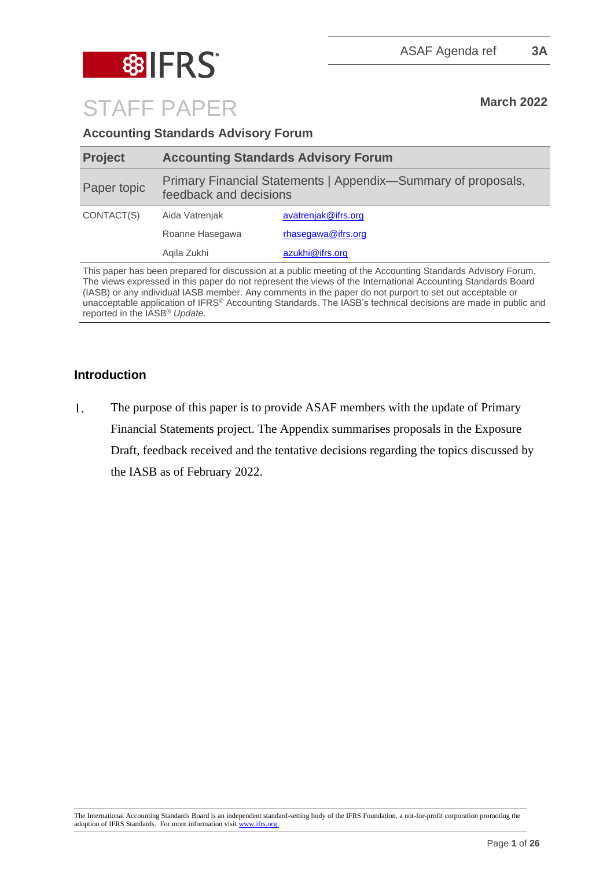

STAFF PAPER March 2022

## **Accounting Standards Advisory Forum**

| <b>Project</b> | <b>Accounting Standards Advisory Forum</b>                                              |                     |
|----------------|-----------------------------------------------------------------------------------------|---------------------|
| Paper topic    | Primary Financial Statements   Appendix-Summary of proposals,<br>feedback and decisions |                     |
| CONTACT(S)     | Aida Vatrenjak                                                                          | avatrenjak@ifrs.org |
|                | Roanne Hasegawa                                                                         | rhasegawa@ifrs.org  |
|                | Agila Zukhi                                                                             | azukhi@ifrs.org     |

This paper has been prepared for discussion at a public meeting of the Accounting Standards Advisory Forum. The views expressed in this paper do not represent the views of the International Accounting Standards Board (IASB) or any individual IASB member. Any comments in the paper do not purport to set out acceptable or unacceptable application of IFRS® Accounting Standards. The IASB's technical decisions are made in public and reported in the IASB® *Update*.

## **Introduction**

 $1.$ The purpose of this paper is to provide ASAF members with the update of Primary Financial Statements project. The Appendix summarises proposals in the Exposure Draft, feedback received and the tentative decisions regarding the topics discussed by the IASB as of February 2022.

The International Accounting Standards Board is an independent standard-setting body of the IFRS Foundation, a not-for-profit corporation promoting the adoption of IFRS Standards. For more information visit [www.ifrs.org.](http://www.ifrs.org/)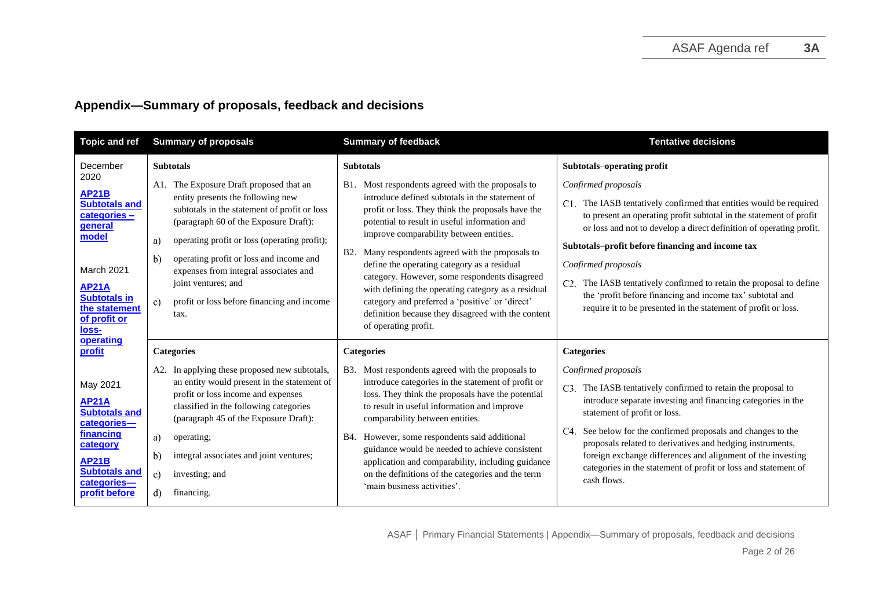## **Appendix—Summary of proposals, feedback and decisions**

| <b>Topic and ref</b>                                                                                                                                                                    | <b>Summary of proposals</b>                                                                                                                                                                                                                                                                                                                                           | <b>Summary of feedback</b>                                                                                                                                                                                                                                                                                                                                                                                                                                                                                                    | <b>Tentative decisions</b>                                                                                                                                                                                                                                                                                                                                                                                                                                                               |
|-----------------------------------------------------------------------------------------------------------------------------------------------------------------------------------------|-----------------------------------------------------------------------------------------------------------------------------------------------------------------------------------------------------------------------------------------------------------------------------------------------------------------------------------------------------------------------|-------------------------------------------------------------------------------------------------------------------------------------------------------------------------------------------------------------------------------------------------------------------------------------------------------------------------------------------------------------------------------------------------------------------------------------------------------------------------------------------------------------------------------|------------------------------------------------------------------------------------------------------------------------------------------------------------------------------------------------------------------------------------------------------------------------------------------------------------------------------------------------------------------------------------------------------------------------------------------------------------------------------------------|
| December<br>2020<br><b>AP21B</b><br><b>Subtotals and</b><br>categories-<br>general<br>model                                                                                             | <b>Subtotals</b><br>A1. The Exposure Draft proposed that an<br>entity presents the following new<br>subtotals in the statement of profit or loss<br>(paragraph 60 of the Exposure Draft):<br>operating profit or loss (operating profit);<br>a)                                                                                                                       | <b>Subtotals</b><br>Most respondents agreed with the proposals to<br>B1.<br>introduce defined subtotals in the statement of<br>profit or loss. They think the proposals have the<br>potential to result in useful information and<br>improve comparability between entities.<br>Many respondents agreed with the proposals to<br><b>B2.</b>                                                                                                                                                                                   | Subtotals-operating profit<br>Confirmed proposals<br>C1. The IASB tentatively confirmed that entities would be required<br>to present an operating profit subtotal in the statement of profit<br>or loss and not to develop a direct definition of operating profit.<br>Subtotals-profit before financing and income tax                                                                                                                                                                 |
| March 2021<br><b>AP21A</b><br><b>Subtotals in</b><br>the statement<br>of profit or<br><u>loss-</u>                                                                                      | operating profit or loss and income and<br>b)<br>expenses from integral associates and<br>joint ventures; and<br>profit or loss before financing and income<br>$\mathbf{c}$<br>tax.                                                                                                                                                                                   | define the operating category as a residual<br>category. However, some respondents disagreed<br>with defining the operating category as a residual<br>category and preferred a 'positive' or 'direct'<br>definition because they disagreed with the content<br>of operating profit.                                                                                                                                                                                                                                           | Confirmed proposals<br>The IASB tentatively confirmed to retain the proposal to define<br>the 'profit before financing and income tax' subtotal and<br>require it to be presented in the statement of profit or loss.                                                                                                                                                                                                                                                                    |
| operating<br>profit<br>May 2021<br><b>AP21A</b><br><b>Subtotals and</b><br>categories-<br>financing<br>category<br><b>AP21B</b><br><b>Subtotals and</b><br>categories-<br>profit before | <b>Categories</b><br>A2. In applying these proposed new subtotals,<br>an entity would present in the statement of<br>profit or loss income and expenses<br>classified in the following categories<br>(paragraph 45 of the Exposure Draft):<br>a)<br>operating;<br>integral associates and joint ventures;<br>b)<br>$\mathbf{c}$<br>investing; and<br>d)<br>financing. | <b>Categories</b><br>Most respondents agreed with the proposals to<br><b>B</b> 3.<br>introduce categories in the statement of profit or<br>loss. They think the proposals have the potential<br>to result in useful information and improve<br>comparability between entities.<br>However, some respondents said additional<br>B4.<br>guidance would be needed to achieve consistent<br>application and comparability, including guidance<br>on the definitions of the categories and the term<br>'main business activities'. | <b>Categories</b><br>Confirmed proposals<br>C3. The IASB tentatively confirmed to retain the proposal to<br>introduce separate investing and financing categories in the<br>statement of profit or loss.<br>See below for the confirmed proposals and changes to the<br>C4.<br>proposals related to derivatives and hedging instruments,<br>foreign exchange differences and alignment of the investing<br>categories in the statement of profit or loss and statement of<br>cash flows. |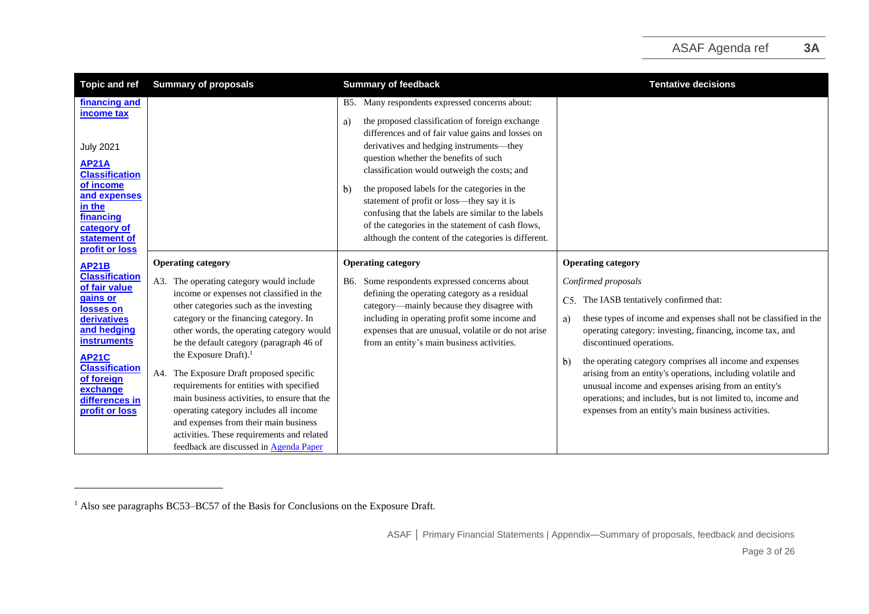| <b>Topic and ref</b>                                                                                                                                                                                                                       | <b>Summary of proposals</b>                                                                                                                                                                                                                                                                                                                                                                                                                                                                                                                                                                                                                               | <b>Summary of feedback</b>                                                                                                                                                                                                                                                                                                                                                                                                                                                                                                                                                           | <b>Tentative decisions</b>                                                                                                                                                                                                                                                                                                                                                                                                                                                                                                                                                                |
|--------------------------------------------------------------------------------------------------------------------------------------------------------------------------------------------------------------------------------------------|-----------------------------------------------------------------------------------------------------------------------------------------------------------------------------------------------------------------------------------------------------------------------------------------------------------------------------------------------------------------------------------------------------------------------------------------------------------------------------------------------------------------------------------------------------------------------------------------------------------------------------------------------------------|--------------------------------------------------------------------------------------------------------------------------------------------------------------------------------------------------------------------------------------------------------------------------------------------------------------------------------------------------------------------------------------------------------------------------------------------------------------------------------------------------------------------------------------------------------------------------------------|-------------------------------------------------------------------------------------------------------------------------------------------------------------------------------------------------------------------------------------------------------------------------------------------------------------------------------------------------------------------------------------------------------------------------------------------------------------------------------------------------------------------------------------------------------------------------------------------|
| financing and<br>income tax<br><b>July 2021</b><br><b>AP21A</b><br><b>Classification</b><br>of income<br>and expenses<br>in the<br>financing<br>category of<br>statement of<br>profit or loss                                              |                                                                                                                                                                                                                                                                                                                                                                                                                                                                                                                                                                                                                                                           | B5. Many respondents expressed concerns about:<br>the proposed classification of foreign exchange<br>a)<br>differences and of fair value gains and losses on<br>derivatives and hedging instruments-they<br>question whether the benefits of such<br>classification would outweigh the costs; and<br>the proposed labels for the categories in the<br>$\mathbf{b}$<br>statement of profit or loss—they say it is<br>confusing that the labels are similar to the labels<br>of the categories in the statement of cash flows,<br>although the content of the categories is different. |                                                                                                                                                                                                                                                                                                                                                                                                                                                                                                                                                                                           |
| <b>AP21B</b><br><b>Classification</b><br>of fair value<br>gains or<br>losses on<br>derivatives<br>and hedging<br><b>instruments</b><br><b>AP21C</b><br><b>Classification</b><br>of foreign<br>exchange<br>differences in<br>profit or loss | <b>Operating category</b><br>A3. The operating category would include<br>income or expenses not classified in the<br>other categories such as the investing<br>category or the financing category. In<br>other words, the operating category would<br>be the default category (paragraph 46 of<br>the Exposure Draft). <sup>1</sup><br>The Exposure Draft proposed specific<br>A4.<br>requirements for entities with specified<br>main business activities, to ensure that the<br>operating category includes all income<br>and expenses from their main business<br>activities. These requirements and related<br>feedback are discussed in Agenda Paper | <b>Operating category</b><br>Some respondents expressed concerns about<br>B6.<br>defining the operating category as a residual<br>category-mainly because they disagree with<br>including in operating profit some income and<br>expenses that are unusual, volatile or do not arise<br>from an entity's main business activities.                                                                                                                                                                                                                                                   | <b>Operating category</b><br>Confirmed proposals<br>C5. The IASB tentatively confirmed that:<br>these types of income and expenses shall not be classified in the<br>a)<br>operating category: investing, financing, income tax, and<br>discontinued operations.<br>the operating category comprises all income and expenses<br>$\mathbf{b}$<br>arising from an entity's operations, including volatile and<br>unusual income and expenses arising from an entity's<br>operations; and includes, but is not limited to, income and<br>expenses from an entity's main business activities. |

<sup>&</sup>lt;sup>1</sup> Also see paragraphs BC53–BC57 of the Basis for Conclusions on the Exposure Draft.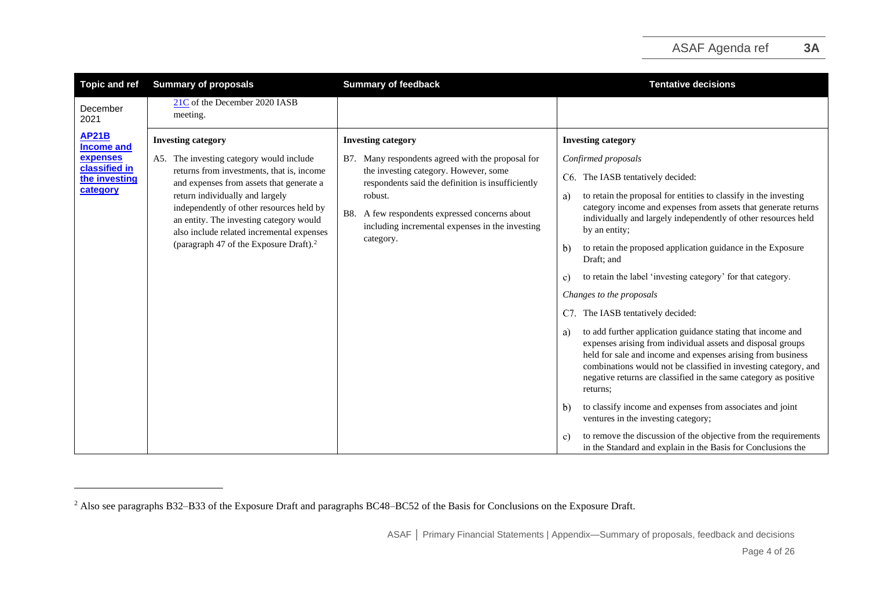| <b>Topic and ref</b>                                                                        | <b>Summary of proposals</b>                                                                                                                                                                                                                                                                                                                                                                 | <b>Summary of feedback</b>                                                                                                                                                                                                                                                                                             | <b>Tentative decisions</b>                                                                                                                                                                                                                                                                                                                                                                                                                                                                                                                                                                                                                                                                                                                                                                                                                                                                                                                                                                    |
|---------------------------------------------------------------------------------------------|---------------------------------------------------------------------------------------------------------------------------------------------------------------------------------------------------------------------------------------------------------------------------------------------------------------------------------------------------------------------------------------------|------------------------------------------------------------------------------------------------------------------------------------------------------------------------------------------------------------------------------------------------------------------------------------------------------------------------|-----------------------------------------------------------------------------------------------------------------------------------------------------------------------------------------------------------------------------------------------------------------------------------------------------------------------------------------------------------------------------------------------------------------------------------------------------------------------------------------------------------------------------------------------------------------------------------------------------------------------------------------------------------------------------------------------------------------------------------------------------------------------------------------------------------------------------------------------------------------------------------------------------------------------------------------------------------------------------------------------|
| December<br>2021                                                                            | 21C of the December 2020 IASB<br>meeting.                                                                                                                                                                                                                                                                                                                                                   |                                                                                                                                                                                                                                                                                                                        |                                                                                                                                                                                                                                                                                                                                                                                                                                                                                                                                                                                                                                                                                                                                                                                                                                                                                                                                                                                               |
| <b>AP21B</b><br><b>Income and</b><br>expenses<br>classified in<br>the investing<br>category | <b>Investing category</b><br>A5. The investing category would include<br>returns from investments, that is, income<br>and expenses from assets that generate a<br>return individually and largely<br>independently of other resources held by<br>an entity. The investing category would<br>also include related incremental expenses<br>(paragraph 47 of the Exposure Draft). <sup>2</sup> | <b>Investing category</b><br>Many respondents agreed with the proposal for<br>B7.<br>the investing category. However, some<br>respondents said the definition is insufficiently<br>robust.<br>A few respondents expressed concerns about<br><b>B8.</b><br>including incremental expenses in the investing<br>category. | <b>Investing category</b><br>Confirmed proposals<br>C6. The IASB tentatively decided:<br>to retain the proposal for entities to classify in the investing<br>a)<br>category income and expenses from assets that generate returns<br>individually and largely independently of other resources held<br>by an entity;<br>to retain the proposed application guidance in the Exposure<br>$\mathbf{b}$<br>Draft; and<br>to retain the label 'investing category' for that category.<br>C)<br>Changes to the proposals<br>The IASB tentatively decided:<br>C7.<br>to add further application guidance stating that income and<br>a)<br>expenses arising from individual assets and disposal groups<br>held for sale and income and expenses arising from business<br>combinations would not be classified in investing category, and<br>negative returns are classified in the same category as positive<br>returns:<br>to classify income and expenses from associates and joint<br>$\mathbf{b}$ |
|                                                                                             |                                                                                                                                                                                                                                                                                                                                                                                             |                                                                                                                                                                                                                                                                                                                        | ventures in the investing category;<br>to remove the discussion of the objective from the requirements<br>C)<br>in the Standard and explain in the Basis for Conclusions the                                                                                                                                                                                                                                                                                                                                                                                                                                                                                                                                                                                                                                                                                                                                                                                                                  |

<sup>&</sup>lt;sup>2</sup> Also see paragraphs B32–B33 of the Exposure Draft and paragraphs BC48–BC52 of the Basis for Conclusions on the Exposure Draft.

ASAF **│** Primary Financial Statements | Appendix—Summary of proposals, feedback and decisions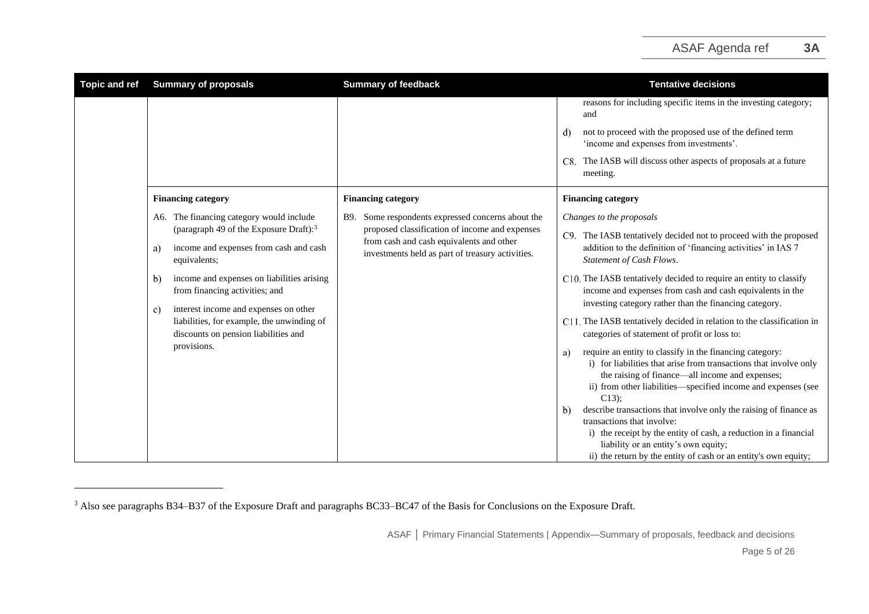| <b>Topic and ref</b> | <b>Summary of proposals</b>                                                                                                                                                                                                                                                                                                                                                                              | <b>Summary of feedback</b>                                                                                                                                                                             | <b>Tentative decisions</b>                                                                                                                                                                                                                                                                                                                                                                                                                                                                                                                                                                                                                                                                                                                                                                                                                                                                                                                                                                                                                                                                 |
|----------------------|----------------------------------------------------------------------------------------------------------------------------------------------------------------------------------------------------------------------------------------------------------------------------------------------------------------------------------------------------------------------------------------------------------|--------------------------------------------------------------------------------------------------------------------------------------------------------------------------------------------------------|--------------------------------------------------------------------------------------------------------------------------------------------------------------------------------------------------------------------------------------------------------------------------------------------------------------------------------------------------------------------------------------------------------------------------------------------------------------------------------------------------------------------------------------------------------------------------------------------------------------------------------------------------------------------------------------------------------------------------------------------------------------------------------------------------------------------------------------------------------------------------------------------------------------------------------------------------------------------------------------------------------------------------------------------------------------------------------------------|
|                      |                                                                                                                                                                                                                                                                                                                                                                                                          |                                                                                                                                                                                                        | reasons for including specific items in the investing category;<br>and<br>not to proceed with the proposed use of the defined term<br>d)<br>'income and expenses from investments'.<br>C8. The IASB will discuss other aspects of proposals at a future<br>meeting.                                                                                                                                                                                                                                                                                                                                                                                                                                                                                                                                                                                                                                                                                                                                                                                                                        |
|                      | <b>Financing category</b>                                                                                                                                                                                                                                                                                                                                                                                | <b>Financing category</b>                                                                                                                                                                              | <b>Financing category</b>                                                                                                                                                                                                                                                                                                                                                                                                                                                                                                                                                                                                                                                                                                                                                                                                                                                                                                                                                                                                                                                                  |
|                      | A6. The financing category would include<br>(paragraph 49 of the Exposure Draft): <sup>3</sup><br>income and expenses from cash and cash<br>a)<br>equivalents;<br>income and expenses on liabilities arising<br>b)<br>from financing activities; and<br>interest income and expenses on other<br>c)<br>liabilities, for example, the unwinding of<br>discounts on pension liabilities and<br>provisions. | Some respondents expressed concerns about the<br>B9.<br>proposed classification of income and expenses<br>from cash and cash equivalents and other<br>investments held as part of treasury activities. | Changes to the proposals<br>C9. The IASB tentatively decided not to proceed with the proposed<br>addition to the definition of 'financing activities' in IAS 7<br>Statement of Cash Flows.<br>C10. The IASB tentatively decided to require an entity to classify<br>income and expenses from cash and cash equivalents in the<br>investing category rather than the financing category.<br>C11. The IASB tentatively decided in relation to the classification in<br>categories of statement of profit or loss to:<br>require an entity to classify in the financing category:<br>a)<br>i) for liabilities that arise from transactions that involve only<br>the raising of finance—all income and expenses;<br>ii) from other liabilities—specified income and expenses (see<br>$C13$ ;<br>describe transactions that involve only the raising of finance as<br>$\mathbf{b}$<br>transactions that involve:<br>i) the receipt by the entity of cash, a reduction in a financial<br>liability or an entity's own equity;<br>ii) the return by the entity of cash or an entity's own equity; |

<sup>&</sup>lt;sup>3</sup> Also see paragraphs B34–B37 of the Exposure Draft and paragraphs BC33–BC47 of the Basis for Conclusions on the Exposure Draft.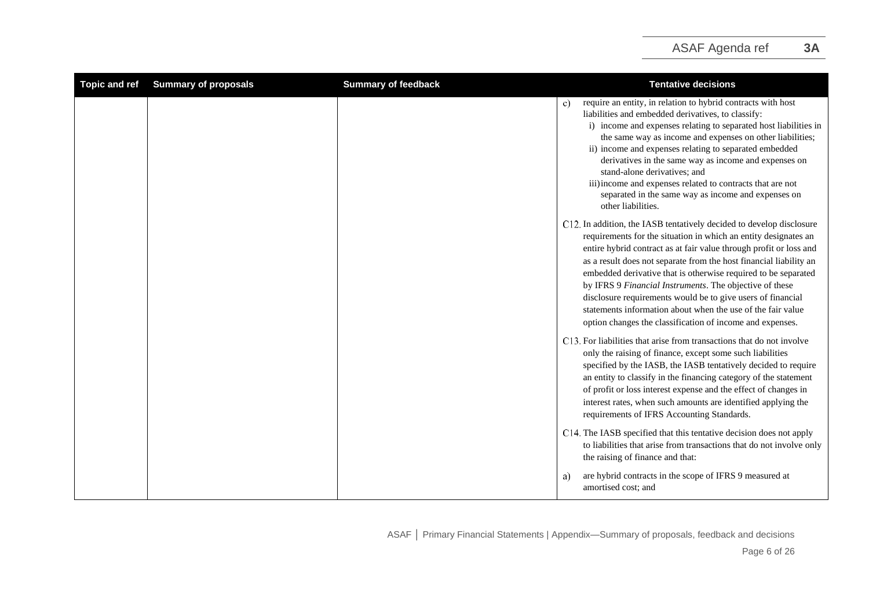<span id="page-5-0"></span>

| <b>Topic and ref</b> | <b>Summary of proposals</b> | <b>Summary of feedback</b> | <b>Tentative decisions</b>                                                                                                                                                                                                                                                                                                                                                                                                                                                                                                                                                                                  |
|----------------------|-----------------------------|----------------------------|-------------------------------------------------------------------------------------------------------------------------------------------------------------------------------------------------------------------------------------------------------------------------------------------------------------------------------------------------------------------------------------------------------------------------------------------------------------------------------------------------------------------------------------------------------------------------------------------------------------|
|                      |                             |                            | require an entity, in relation to hybrid contracts with host<br>c)<br>liabilities and embedded derivatives, to classify:<br>i) income and expenses relating to separated host liabilities in<br>the same way as income and expenses on other liabilities;<br>ii) income and expenses relating to separated embedded<br>derivatives in the same way as income and expenses on<br>stand-alone derivatives; and<br>iii) income and expenses related to contracts that are not<br>separated in the same way as income and expenses on<br>other liabilities.                                                     |
|                      |                             |                            | C12. In addition, the IASB tentatively decided to develop disclosure<br>requirements for the situation in which an entity designates an<br>entire hybrid contract as at fair value through profit or loss and<br>as a result does not separate from the host financial liability an<br>embedded derivative that is otherwise required to be separated<br>by IFRS 9 Financial Instruments. The objective of these<br>disclosure requirements would be to give users of financial<br>statements information about when the use of the fair value<br>option changes the classification of income and expenses. |
|                      |                             |                            | C13. For liabilities that arise from transactions that do not involve<br>only the raising of finance, except some such liabilities<br>specified by the IASB, the IASB tentatively decided to require<br>an entity to classify in the financing category of the statement<br>of profit or loss interest expense and the effect of changes in<br>interest rates, when such amounts are identified applying the<br>requirements of IFRS Accounting Standards.                                                                                                                                                  |
|                      |                             |                            | C14. The IASB specified that this tentative decision does not apply<br>to liabilities that arise from transactions that do not involve only<br>the raising of finance and that:                                                                                                                                                                                                                                                                                                                                                                                                                             |
|                      |                             |                            | are hybrid contracts in the scope of IFRS 9 measured at<br>a)<br>amortised cost; and                                                                                                                                                                                                                                                                                                                                                                                                                                                                                                                        |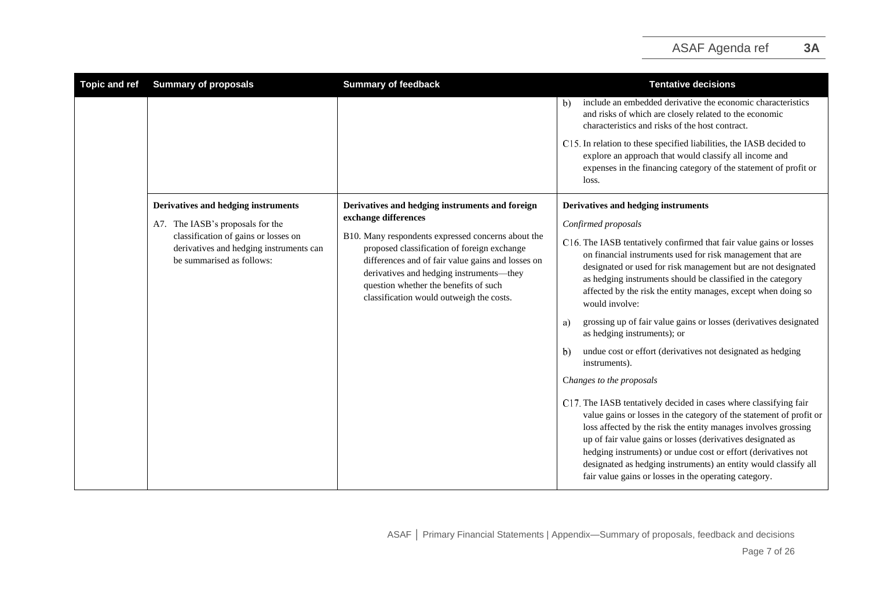| <b>Topic and ref</b> | <b>Summary of proposals</b>                                                                                  | <b>Summary of feedback</b>                                                                                                                                                                                                                                                              | <b>Tentative decisions</b>                                                                                                                                                                                                                                                                                                                                                                                                                                             |
|----------------------|--------------------------------------------------------------------------------------------------------------|-----------------------------------------------------------------------------------------------------------------------------------------------------------------------------------------------------------------------------------------------------------------------------------------|------------------------------------------------------------------------------------------------------------------------------------------------------------------------------------------------------------------------------------------------------------------------------------------------------------------------------------------------------------------------------------------------------------------------------------------------------------------------|
|                      |                                                                                                              |                                                                                                                                                                                                                                                                                         | include an embedded derivative the economic characteristics<br>b)<br>and risks of which are closely related to the economic<br>characteristics and risks of the host contract.                                                                                                                                                                                                                                                                                         |
|                      |                                                                                                              |                                                                                                                                                                                                                                                                                         | C15. In relation to these specified liabilities, the IASB decided to<br>explore an approach that would classify all income and<br>expenses in the financing category of the statement of profit or<br>loss.                                                                                                                                                                                                                                                            |
|                      | Derivatives and hedging instruments                                                                          | Derivatives and hedging instruments and foreign<br>exchange differences                                                                                                                                                                                                                 | Derivatives and hedging instruments                                                                                                                                                                                                                                                                                                                                                                                                                                    |
|                      | A7. The IASB's proposals for the                                                                             |                                                                                                                                                                                                                                                                                         | Confirmed proposals                                                                                                                                                                                                                                                                                                                                                                                                                                                    |
|                      | classification of gains or losses on<br>derivatives and hedging instruments can<br>be summarised as follows: | B10. Many respondents expressed concerns about the<br>proposed classification of foreign exchange<br>differences and of fair value gains and losses on<br>derivatives and hedging instruments-they<br>question whether the benefits of such<br>classification would outweigh the costs. | C16. The IASB tentatively confirmed that fair value gains or losses<br>on financial instruments used for risk management that are<br>designated or used for risk management but are not designated<br>as hedging instruments should be classified in the category<br>affected by the risk the entity manages, except when doing so<br>would involve:                                                                                                                   |
|                      |                                                                                                              |                                                                                                                                                                                                                                                                                         | grossing up of fair value gains or losses (derivatives designated<br>a)<br>as hedging instruments); or                                                                                                                                                                                                                                                                                                                                                                 |
|                      |                                                                                                              |                                                                                                                                                                                                                                                                                         | undue cost or effort (derivatives not designated as hedging<br>$\mathbf{b}$<br>instruments).                                                                                                                                                                                                                                                                                                                                                                           |
|                      |                                                                                                              |                                                                                                                                                                                                                                                                                         | Changes to the proposals                                                                                                                                                                                                                                                                                                                                                                                                                                               |
|                      |                                                                                                              |                                                                                                                                                                                                                                                                                         | C17. The IASB tentatively decided in cases where classifying fair<br>value gains or losses in the category of the statement of profit or<br>loss affected by the risk the entity manages involves grossing<br>up of fair value gains or losses (derivatives designated as<br>hedging instruments) or undue cost or effort (derivatives not<br>designated as hedging instruments) an entity would classify all<br>fair value gains or losses in the operating category. |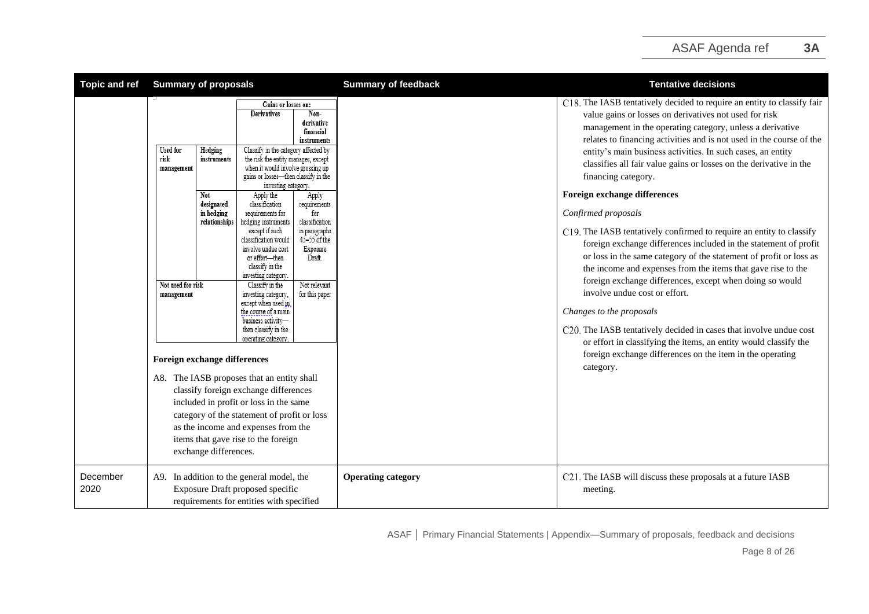| <b>Topic and ref</b> | <b>Summary of proposals</b>                                                                                                                                                                                     |                                                                                                                                                                                                                                                                                                                                                                                                                                                                                                                                                                                                                                                                                                                                                                                                                                                                                                                                                                                                                                                                | <b>Summary of feedback</b> | <b>Tentative decisions</b>                                                                                                                                                                                                                                                                                                                                                                                                                                                                                                                                                                                                                                                                                                                                                                                                                                                                                                                                                                                                                                                                                               |
|----------------------|-----------------------------------------------------------------------------------------------------------------------------------------------------------------------------------------------------------------|----------------------------------------------------------------------------------------------------------------------------------------------------------------------------------------------------------------------------------------------------------------------------------------------------------------------------------------------------------------------------------------------------------------------------------------------------------------------------------------------------------------------------------------------------------------------------------------------------------------------------------------------------------------------------------------------------------------------------------------------------------------------------------------------------------------------------------------------------------------------------------------------------------------------------------------------------------------------------------------------------------------------------------------------------------------|----------------------------|--------------------------------------------------------------------------------------------------------------------------------------------------------------------------------------------------------------------------------------------------------------------------------------------------------------------------------------------------------------------------------------------------------------------------------------------------------------------------------------------------------------------------------------------------------------------------------------------------------------------------------------------------------------------------------------------------------------------------------------------------------------------------------------------------------------------------------------------------------------------------------------------------------------------------------------------------------------------------------------------------------------------------------------------------------------------------------------------------------------------------|
|                      | <b>Used for</b><br>Hedging<br>risk<br>instruments<br>management<br>Not<br>designated<br>in hedging<br>relationships<br>Not used for risk<br>management<br>Foreign exchange differences<br>exchange differences. | Gains or losses on:<br><b>Derivatives</b><br>Non-<br>derivative<br>financial<br>instruments<br>Classify in the category affected by<br>the risk the entity manages, except<br>when it would involve grossing up<br>gains or losses-then classify in the<br>investing category.<br>Apply the<br>Apply<br>classification<br>requirements<br>requirements for<br>for<br>hedging instruments<br>classification<br>except if such<br>in paragraphs<br>$45 - 55$ of the<br>classification would<br>involve undue cost<br>Exposure<br>or effort-then<br>Draft.<br>classify in the<br>investing category.<br>Not relevant<br>Classify in the<br>for this paper<br>investing category,<br>except when used in<br>the course of a main<br>business activity-<br>then classify in the<br>operating category<br>A8. The IASB proposes that an entity shall<br>classify foreign exchange differences<br>included in profit or loss in the same<br>category of the statement of profit or loss<br>as the income and expenses from the<br>items that gave rise to the foreign |                            | C18. The IASB tentatively decided to require an entity to classify fair<br>value gains or losses on derivatives not used for risk<br>management in the operating category, unless a derivative<br>relates to financing activities and is not used in the course of the<br>entity's main business activities. In such cases, an entity<br>classifies all fair value gains or losses on the derivative in the<br>financing category.<br>Foreign exchange differences<br>Confirmed proposals<br>C19. The IASB tentatively confirmed to require an entity to classify<br>foreign exchange differences included in the statement of profit<br>or loss in the same category of the statement of profit or loss as<br>the income and expenses from the items that gave rise to the<br>foreign exchange differences, except when doing so would<br>involve undue cost or effort.<br>Changes to the proposals<br>C20. The IASB tentatively decided in cases that involve undue cost<br>or effort in classifying the items, an entity would classify the<br>foreign exchange differences on the item in the operating<br>category. |
| December<br>2020     | A9. In addition to the general model, the                                                                                                                                                                       | Exposure Draft proposed specific<br>requirements for entities with specified                                                                                                                                                                                                                                                                                                                                                                                                                                                                                                                                                                                                                                                                                                                                                                                                                                                                                                                                                                                   | <b>Operating category</b>  | C21. The IASB will discuss these proposals at a future IASB<br>meeting.                                                                                                                                                                                                                                                                                                                                                                                                                                                                                                                                                                                                                                                                                                                                                                                                                                                                                                                                                                                                                                                  |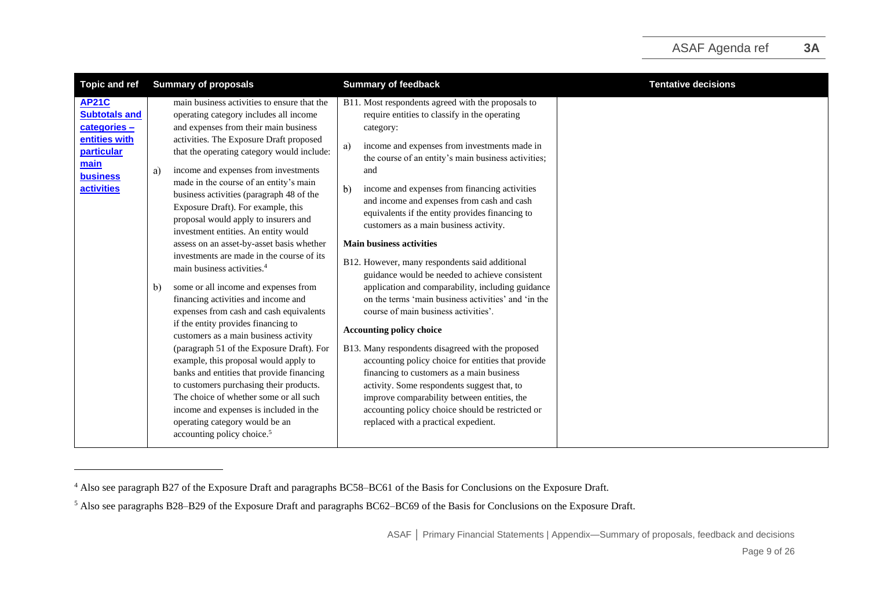| <b>Topic and ref</b>                                                                                                               | <b>Summary of proposals</b>                                                                                                                                                                                                                                                                                                                                                                                                                                                                                                                                                                                                                                                                                                                                                                                                                                                                                                                                                                                                                                                                                                                                                         | <b>Summary of feedback</b>                                                                                                                                                                                                                                                                                                                                                                                                                                                                                                                                                                                                                                                                                                                                                                                                                                                                                                                                                                                                                                                                                                       | <b>Tentative decisions</b> |
|------------------------------------------------------------------------------------------------------------------------------------|-------------------------------------------------------------------------------------------------------------------------------------------------------------------------------------------------------------------------------------------------------------------------------------------------------------------------------------------------------------------------------------------------------------------------------------------------------------------------------------------------------------------------------------------------------------------------------------------------------------------------------------------------------------------------------------------------------------------------------------------------------------------------------------------------------------------------------------------------------------------------------------------------------------------------------------------------------------------------------------------------------------------------------------------------------------------------------------------------------------------------------------------------------------------------------------|----------------------------------------------------------------------------------------------------------------------------------------------------------------------------------------------------------------------------------------------------------------------------------------------------------------------------------------------------------------------------------------------------------------------------------------------------------------------------------------------------------------------------------------------------------------------------------------------------------------------------------------------------------------------------------------------------------------------------------------------------------------------------------------------------------------------------------------------------------------------------------------------------------------------------------------------------------------------------------------------------------------------------------------------------------------------------------------------------------------------------------|----------------------------|
| <b>AP21C</b><br><b>Subtotals and</b><br>categories-<br>entities with<br>particular<br>main<br><b>business</b><br><b>activities</b> | main business activities to ensure that the<br>operating category includes all income<br>and expenses from their main business<br>activities. The Exposure Draft proposed<br>that the operating category would include:<br>income and expenses from investments<br>a)<br>made in the course of an entity's main<br>business activities (paragraph 48 of the<br>Exposure Draft). For example, this<br>proposal would apply to insurers and<br>investment entities. An entity would<br>assess on an asset-by-asset basis whether<br>investments are made in the course of its<br>main business activities. <sup>4</sup><br>some or all income and expenses from<br>b)<br>financing activities and income and<br>expenses from cash and cash equivalents<br>if the entity provides financing to<br>customers as a main business activity<br>(paragraph 51 of the Exposure Draft). For<br>example, this proposal would apply to<br>banks and entities that provide financing<br>to customers purchasing their products.<br>The choice of whether some or all such<br>income and expenses is included in the<br>operating category would be an<br>accounting policy choice. <sup>5</sup> | B11. Most respondents agreed with the proposals to<br>require entities to classify in the operating<br>category:<br>income and expenses from investments made in<br>a)<br>the course of an entity's main business activities;<br>and<br>income and expenses from financing activities<br>$\mathbf{b}$<br>and income and expenses from cash and cash<br>equivalents if the entity provides financing to<br>customers as a main business activity.<br><b>Main business activities</b><br>B12. However, many respondents said additional<br>guidance would be needed to achieve consistent<br>application and comparability, including guidance<br>on the terms 'main business activities' and 'in the<br>course of main business activities'.<br><b>Accounting policy choice</b><br>B13. Many respondents disagreed with the proposed<br>accounting policy choice for entities that provide<br>financing to customers as a main business<br>activity. Some respondents suggest that, to<br>improve comparability between entities, the<br>accounting policy choice should be restricted or<br>replaced with a practical expedient. |                            |
|                                                                                                                                    |                                                                                                                                                                                                                                                                                                                                                                                                                                                                                                                                                                                                                                                                                                                                                                                                                                                                                                                                                                                                                                                                                                                                                                                     |                                                                                                                                                                                                                                                                                                                                                                                                                                                                                                                                                                                                                                                                                                                                                                                                                                                                                                                                                                                                                                                                                                                                  |                            |

<sup>4</sup> Also see paragraph B27 of the Exposure Draft and paragraphs BC58–BC61 of the Basis for Conclusions on the Exposure Draft.

<sup>5</sup> Also see paragraphs B28–B29 of the Exposure Draft and paragraphs BC62–BC69 of the Basis for Conclusions on the Exposure Draft.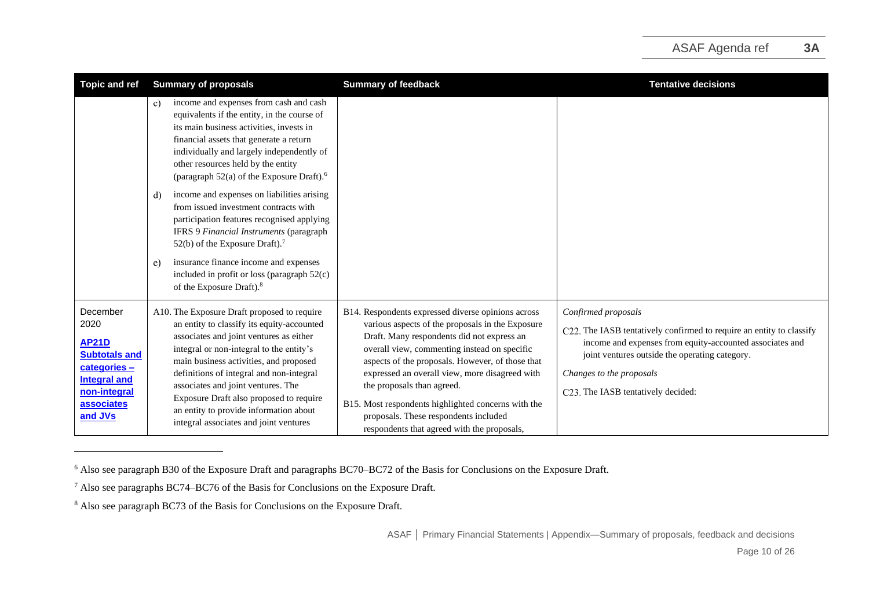| <b>Topic and ref</b>                                                                                                                            | <b>Summary of proposals</b>                                                                                                                                                                                                                                                                                                                                                                                                                                                                                                                                                                                         | <b>Summary of feedback</b>                                                                                                                                                                                                                                                                                                                                                                                                                                                              | <b>Tentative decisions</b>                                                                                                                                                                                                                                                  |
|-------------------------------------------------------------------------------------------------------------------------------------------------|---------------------------------------------------------------------------------------------------------------------------------------------------------------------------------------------------------------------------------------------------------------------------------------------------------------------------------------------------------------------------------------------------------------------------------------------------------------------------------------------------------------------------------------------------------------------------------------------------------------------|-----------------------------------------------------------------------------------------------------------------------------------------------------------------------------------------------------------------------------------------------------------------------------------------------------------------------------------------------------------------------------------------------------------------------------------------------------------------------------------------|-----------------------------------------------------------------------------------------------------------------------------------------------------------------------------------------------------------------------------------------------------------------------------|
|                                                                                                                                                 | income and expenses from cash and cash<br>c)<br>equivalents if the entity, in the course of<br>its main business activities, invests in<br>financial assets that generate a return<br>individually and largely independently of<br>other resources held by the entity<br>(paragraph $52(a)$ of the Exposure Draft). <sup>6</sup><br>income and expenses on liabilities arising<br>d)<br>from issued investment contracts with<br>participation features recognised applying<br>IFRS 9 Financial Instruments (paragraph<br>52(b) of the Exposure Draft). <sup>7</sup><br>insurance finance income and expenses<br>e) |                                                                                                                                                                                                                                                                                                                                                                                                                                                                                         |                                                                                                                                                                                                                                                                             |
|                                                                                                                                                 | included in profit or loss (paragraph 52(c)<br>of the Exposure Draft). <sup>8</sup>                                                                                                                                                                                                                                                                                                                                                                                                                                                                                                                                 |                                                                                                                                                                                                                                                                                                                                                                                                                                                                                         |                                                                                                                                                                                                                                                                             |
| December<br>2020<br><b>AP21D</b><br><b>Subtotals and</b><br>categories -<br><b>Integral and</b><br>non-integral<br><b>associates</b><br>and JVs | A10. The Exposure Draft proposed to require<br>an entity to classify its equity-accounted<br>associates and joint ventures as either<br>integral or non-integral to the entity's<br>main business activities, and proposed<br>definitions of integral and non-integral<br>associates and joint ventures. The<br>Exposure Draft also proposed to require<br>an entity to provide information about<br>integral associates and joint ventures                                                                                                                                                                         | B14. Respondents expressed diverse opinions across<br>various aspects of the proposals in the Exposure<br>Draft. Many respondents did not express an<br>overall view, commenting instead on specific<br>aspects of the proposals. However, of those that<br>expressed an overall view, more disagreed with<br>the proposals than agreed.<br>B15. Most respondents highlighted concerns with the<br>proposals. These respondents included<br>respondents that agreed with the proposals, | Confirmed proposals<br>C22. The IASB tentatively confirmed to require an entity to classify<br>income and expenses from equity-accounted associates and<br>joint ventures outside the operating category.<br>Changes to the proposals<br>C23. The IASB tentatively decided: |

<sup>6</sup> Also see paragraph B30 of the Exposure Draft and paragraphs BC70–BC72 of the Basis for Conclusions on the Exposure Draft.

<sup>7</sup> Also see paragraphs BC74–BC76 of the Basis for Conclusions on the Exposure Draft.

<sup>&</sup>lt;sup>8</sup> Also see paragraph BC73 of the Basis for Conclusions on the Exposure Draft.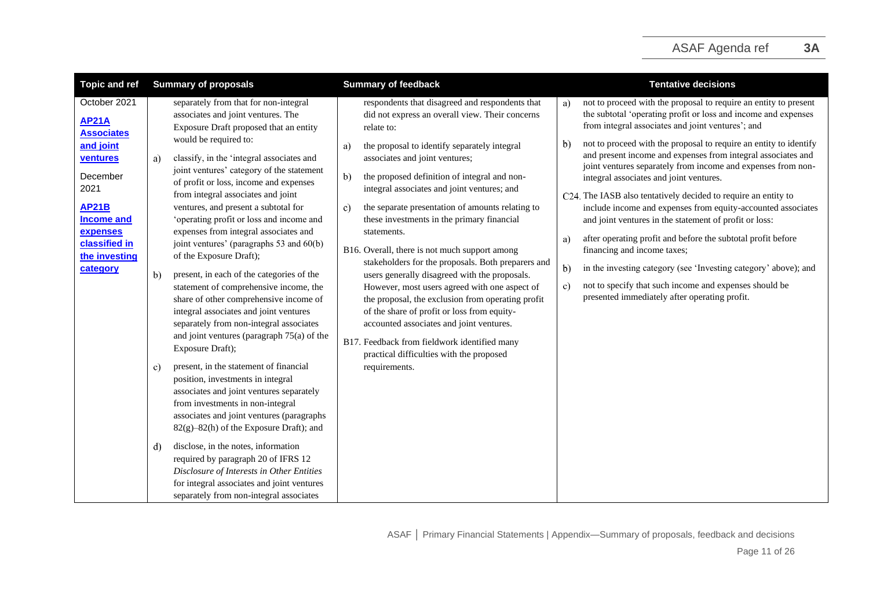| <b>Topic and ref</b>                                                                                                                                                                          | <b>Summary of proposals</b>                                                                                                                                                                                                                                                                                                                                                                                                                                                                                                                                                                                                                                                                                                                                    | <b>Summary of feedback</b>                                                                                                                                                                                                                                                                                                                                                                                                                                                                                                                                                                                                                                                                                                                                                                                                                              | <b>Tentative decisions</b>                                                                                                                                                                                                                                                                                                                                                                                                                                                                                                                                                                                                                                                                                                                                                                                                                                                                                                                                         |
|-----------------------------------------------------------------------------------------------------------------------------------------------------------------------------------------------|----------------------------------------------------------------------------------------------------------------------------------------------------------------------------------------------------------------------------------------------------------------------------------------------------------------------------------------------------------------------------------------------------------------------------------------------------------------------------------------------------------------------------------------------------------------------------------------------------------------------------------------------------------------------------------------------------------------------------------------------------------------|---------------------------------------------------------------------------------------------------------------------------------------------------------------------------------------------------------------------------------------------------------------------------------------------------------------------------------------------------------------------------------------------------------------------------------------------------------------------------------------------------------------------------------------------------------------------------------------------------------------------------------------------------------------------------------------------------------------------------------------------------------------------------------------------------------------------------------------------------------|--------------------------------------------------------------------------------------------------------------------------------------------------------------------------------------------------------------------------------------------------------------------------------------------------------------------------------------------------------------------------------------------------------------------------------------------------------------------------------------------------------------------------------------------------------------------------------------------------------------------------------------------------------------------------------------------------------------------------------------------------------------------------------------------------------------------------------------------------------------------------------------------------------------------------------------------------------------------|
| October 2021<br><b>AP21A</b><br><b>Associates</b><br>and joint<br>ventures<br>December<br>2021<br><b>AP21B</b><br><b>Income and</b><br>expenses<br>classified in<br>the investing<br>category | separately from that for non-integral<br>associates and joint ventures. The<br>Exposure Draft proposed that an entity<br>would be required to:<br>classify, in the 'integral associates and<br>a)<br>joint ventures' category of the statement<br>of profit or loss, income and expenses<br>from integral associates and joint<br>ventures, and present a subtotal for<br>'operating profit or loss and income and<br>expenses from integral associates and<br>joint ventures' (paragraphs 53 and 60(b)<br>of the Exposure Draft);<br>present, in each of the categories of the<br>b)<br>statement of comprehensive income, the<br>share of other comprehensive income of<br>integral associates and joint ventures<br>separately from non-integral associates | respondents that disagreed and respondents that<br>did not express an overall view. Their concerns<br>relate to:<br>the proposal to identify separately integral<br>a)<br>associates and joint ventures;<br>the proposed definition of integral and non-<br>$\mathbf{b}$<br>integral associates and joint ventures; and<br>the separate presentation of amounts relating to<br>c)<br>these investments in the primary financial<br>statements.<br>B16. Overall, there is not much support among<br>stakeholders for the proposals. Both preparers and<br>users generally disagreed with the proposals.<br>However, most users agreed with one aspect of<br>the proposal, the exclusion from operating profit<br>of the share of profit or loss from equity-<br>accounted associates and joint ventures.<br>B17. Feedback from fieldwork identified many | not to proceed with the proposal to require an entity to present<br>a)<br>the subtotal 'operating profit or loss and income and expenses<br>from integral associates and joint ventures'; and<br>not to proceed with the proposal to require an entity to identify<br>$\mathbf{b}$<br>and present income and expenses from integral associates and<br>joint ventures separately from income and expenses from non-<br>integral associates and joint ventures.<br>C24. The IASB also tentatively decided to require an entity to<br>include income and expenses from equity-accounted associates<br>and joint ventures in the statement of profit or loss:<br>after operating profit and before the subtotal profit before<br>a)<br>financing and income taxes;<br>$\mathbf{b}$<br>in the investing category (see 'Investing category' above); and<br>not to specify that such income and expenses should be<br>c)<br>presented immediately after operating profit. |
|                                                                                                                                                                                               | and joint ventures (paragraph 75(a) of the<br>Exposure Draft);<br>present, in the statement of financial<br>C)<br>position, investments in integral<br>associates and joint ventures separately<br>from investments in non-integral<br>associates and joint ventures (paragraphs<br>82(g)-82(h) of the Exposure Draft); and<br>disclose, in the notes, information<br>d)<br>required by paragraph 20 of IFRS 12<br>Disclosure of Interests in Other Entities<br>for integral associates and joint ventures<br>separately from non-integral associates                                                                                                                                                                                                          | practical difficulties with the proposed<br>requirements.                                                                                                                                                                                                                                                                                                                                                                                                                                                                                                                                                                                                                                                                                                                                                                                               |                                                                                                                                                                                                                                                                                                                                                                                                                                                                                                                                                                                                                                                                                                                                                                                                                                                                                                                                                                    |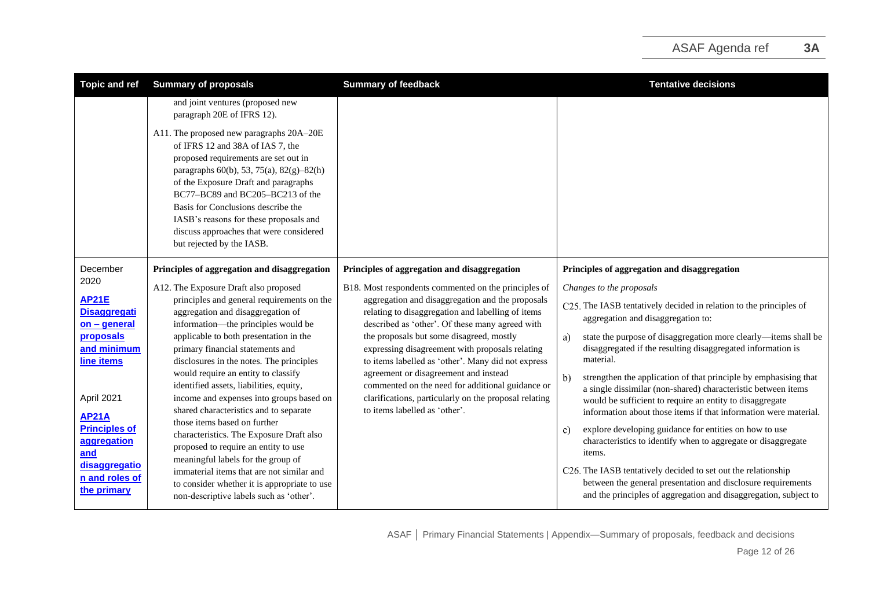| <b>Topic and ref</b>                                                                                                                                                                                                                  | <b>Summary of proposals</b>                                                                                                                                                                                                                                                                                                                                                                                                                                                                                                                                                                                                                                                                                                                                         | <b>Summary of feedback</b>                                                                                                                                                                                                                                                                                                                                                                                                                                                                                                                                   | <b>Tentative decisions</b>                                                                                                                                                                                                                                                                                                                                                                                                                                                                                                                                                                                                                                                                                                                                                                                                                                                                                                     |
|---------------------------------------------------------------------------------------------------------------------------------------------------------------------------------------------------------------------------------------|---------------------------------------------------------------------------------------------------------------------------------------------------------------------------------------------------------------------------------------------------------------------------------------------------------------------------------------------------------------------------------------------------------------------------------------------------------------------------------------------------------------------------------------------------------------------------------------------------------------------------------------------------------------------------------------------------------------------------------------------------------------------|--------------------------------------------------------------------------------------------------------------------------------------------------------------------------------------------------------------------------------------------------------------------------------------------------------------------------------------------------------------------------------------------------------------------------------------------------------------------------------------------------------------------------------------------------------------|--------------------------------------------------------------------------------------------------------------------------------------------------------------------------------------------------------------------------------------------------------------------------------------------------------------------------------------------------------------------------------------------------------------------------------------------------------------------------------------------------------------------------------------------------------------------------------------------------------------------------------------------------------------------------------------------------------------------------------------------------------------------------------------------------------------------------------------------------------------------------------------------------------------------------------|
|                                                                                                                                                                                                                                       | and joint ventures (proposed new<br>paragraph 20E of IFRS 12).                                                                                                                                                                                                                                                                                                                                                                                                                                                                                                                                                                                                                                                                                                      |                                                                                                                                                                                                                                                                                                                                                                                                                                                                                                                                                              |                                                                                                                                                                                                                                                                                                                                                                                                                                                                                                                                                                                                                                                                                                                                                                                                                                                                                                                                |
|                                                                                                                                                                                                                                       | A11. The proposed new paragraphs 20A-20E<br>of IFRS 12 and 38A of IAS 7, the<br>proposed requirements are set out in<br>paragraphs $60(b)$ , 53, 75(a), 82(g)-82(h)<br>of the Exposure Draft and paragraphs<br>BC77-BC89 and BC205-BC213 of the<br>Basis for Conclusions describe the<br>IASB's reasons for these proposals and<br>discuss approaches that were considered<br>but rejected by the IASB.                                                                                                                                                                                                                                                                                                                                                             |                                                                                                                                                                                                                                                                                                                                                                                                                                                                                                                                                              |                                                                                                                                                                                                                                                                                                                                                                                                                                                                                                                                                                                                                                                                                                                                                                                                                                                                                                                                |
| December                                                                                                                                                                                                                              | Principles of aggregation and disaggregation                                                                                                                                                                                                                                                                                                                                                                                                                                                                                                                                                                                                                                                                                                                        | Principles of aggregation and disaggregation                                                                                                                                                                                                                                                                                                                                                                                                                                                                                                                 | Principles of aggregation and disaggregation                                                                                                                                                                                                                                                                                                                                                                                                                                                                                                                                                                                                                                                                                                                                                                                                                                                                                   |
| 2020<br><b>AP21E</b><br><b>Disaggregati</b><br>$on - general$<br>proposals<br>and minimum<br>line items<br>April 2021<br><b>AP21A</b><br><b>Principles of</b><br>aggregation<br>and<br>disaggregatio<br>n and roles of<br>the primary | A12. The Exposure Draft also proposed<br>principles and general requirements on the<br>aggregation and disaggregation of<br>information—the principles would be<br>applicable to both presentation in the<br>primary financial statements and<br>disclosures in the notes. The principles<br>would require an entity to classify<br>identified assets, liabilities, equity,<br>income and expenses into groups based on<br>shared characteristics and to separate<br>those items based on further<br>characteristics. The Exposure Draft also<br>proposed to require an entity to use<br>meaningful labels for the group of<br>immaterial items that are not similar and<br>to consider whether it is appropriate to use<br>non-descriptive labels such as 'other'. | B18. Most respondents commented on the principles of<br>aggregation and disaggregation and the proposals<br>relating to disaggregation and labelling of items<br>described as 'other'. Of these many agreed with<br>the proposals but some disagreed, mostly<br>expressing disagreement with proposals relating<br>to items labelled as 'other'. Many did not express<br>agreement or disagreement and instead<br>commented on the need for additional guidance or<br>clarifications, particularly on the proposal relating<br>to items labelled as 'other'. | Changes to the proposals<br>C25. The IASB tentatively decided in relation to the principles of<br>aggregation and disaggregation to:<br>state the purpose of disaggregation more clearly—items shall be<br>a)<br>disaggregated if the resulting disaggregated information is<br>material.<br>strengthen the application of that principle by emphasising that<br>$\mathbf{b}$<br>a single dissimilar (non-shared) characteristic between items<br>would be sufficient to require an entity to disaggregate<br>information about those items if that information were material.<br>explore developing guidance for entities on how to use<br>c)<br>characteristics to identify when to aggregate or disaggregate<br>items.<br>C26. The IASB tentatively decided to set out the relationship<br>between the general presentation and disclosure requirements<br>and the principles of aggregation and disaggregation, subject to |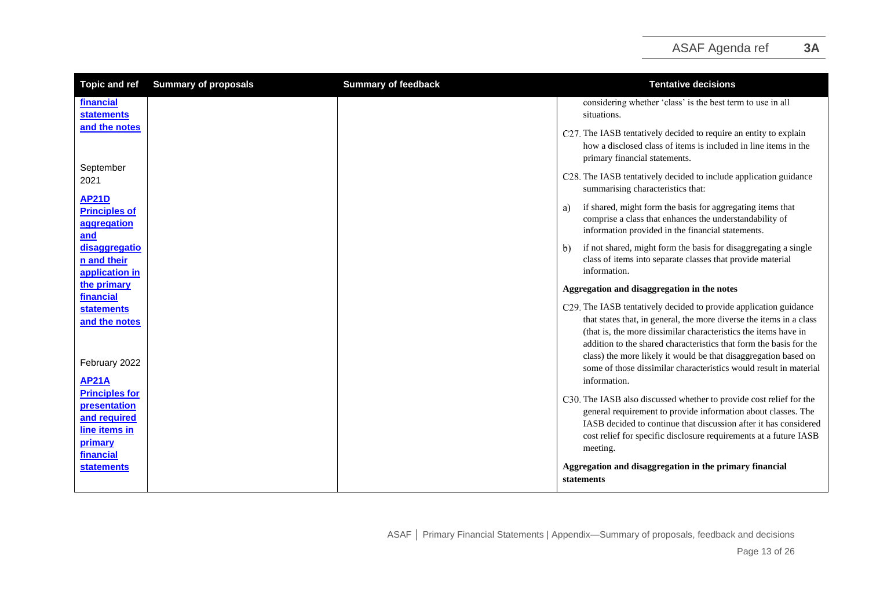| <b>Topic and ref</b>                                                  | <b>Summary of proposals</b> | <b>Summary of feedback</b> | <b>Tentative decisions</b>                                                                                                                                                                                                                                                                                                                           |
|-----------------------------------------------------------------------|-----------------------------|----------------------------|------------------------------------------------------------------------------------------------------------------------------------------------------------------------------------------------------------------------------------------------------------------------------------------------------------------------------------------------------|
| financial<br><b>statements</b>                                        |                             |                            | considering whether 'class' is the best term to use in all<br>situations.                                                                                                                                                                                                                                                                            |
| and the notes                                                         |                             |                            | C27. The IASB tentatively decided to require an entity to explain<br>how a disclosed class of items is included in line items in the<br>primary financial statements.                                                                                                                                                                                |
| September<br>2021                                                     |                             |                            | C28. The IASB tentatively decided to include application guidance<br>summarising characteristics that:                                                                                                                                                                                                                                               |
| <b>AP21D</b><br><b>Principles of</b><br>aggregation<br>and            |                             |                            | if shared, might form the basis for aggregating items that<br>a)<br>comprise a class that enhances the understandability of<br>information provided in the financial statements.                                                                                                                                                                     |
| disaggregatio<br>n and their<br>application in                        |                             |                            | if not shared, might form the basis for disaggregating a single<br>b)<br>class of items into separate classes that provide material<br>information.                                                                                                                                                                                                  |
| the primary<br>financial                                              |                             |                            | Aggregation and disaggregation in the notes                                                                                                                                                                                                                                                                                                          |
| <b>statements</b><br>and the notes                                    |                             |                            | C29. The IASB tentatively decided to provide application guidance<br>that states that, in general, the more diverse the items in a class<br>(that is, the more dissimilar characteristics the items have in<br>addition to the shared characteristics that form the basis for the<br>class) the more likely it would be that disaggregation based on |
| February 2022                                                         |                             |                            | some of those dissimilar characteristics would result in material                                                                                                                                                                                                                                                                                    |
| <b>AP21A</b><br><b>Principles for</b><br>presentation<br>and required |                             |                            | information.<br>C30. The IASB also discussed whether to provide cost relief for the<br>general requirement to provide information about classes. The                                                                                                                                                                                                 |
| line items in<br>primary<br>financial                                 |                             |                            | IASB decided to continue that discussion after it has considered<br>cost relief for specific disclosure requirements at a future IASB<br>meeting.                                                                                                                                                                                                    |
| <b>statements</b>                                                     |                             |                            | Aggregation and disaggregation in the primary financial<br>statements                                                                                                                                                                                                                                                                                |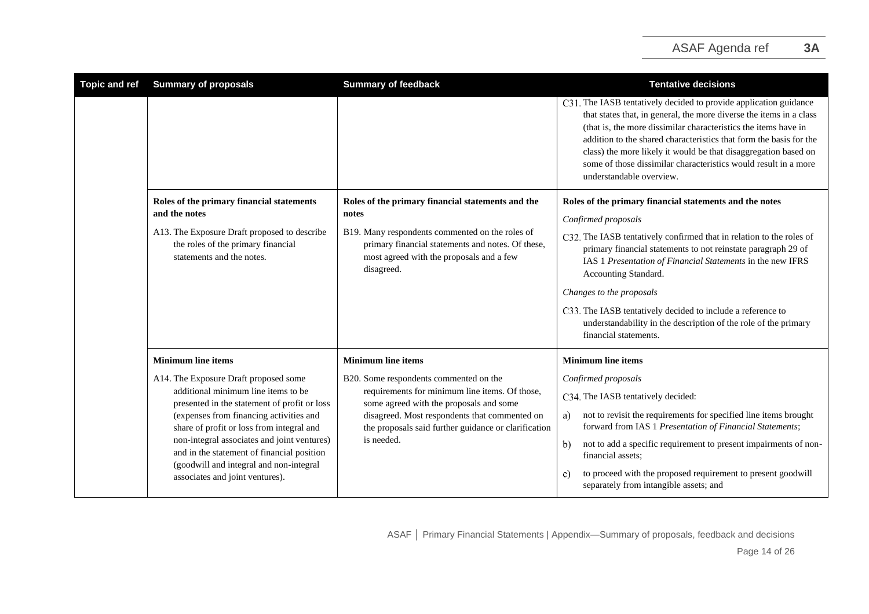| <b>Topic and ref</b> | <b>Summary of proposals</b>                                                                                                                                                                                                                                                                                                                                                                     | <b>Summary of feedback</b>                                                                                                                                                                                                                                 | <b>Tentative decisions</b>                                                                                                                                                                                                                                                                                                                                                                                                                          |
|----------------------|-------------------------------------------------------------------------------------------------------------------------------------------------------------------------------------------------------------------------------------------------------------------------------------------------------------------------------------------------------------------------------------------------|------------------------------------------------------------------------------------------------------------------------------------------------------------------------------------------------------------------------------------------------------------|-----------------------------------------------------------------------------------------------------------------------------------------------------------------------------------------------------------------------------------------------------------------------------------------------------------------------------------------------------------------------------------------------------------------------------------------------------|
|                      |                                                                                                                                                                                                                                                                                                                                                                                                 |                                                                                                                                                                                                                                                            | C31. The IASB tentatively decided to provide application guidance<br>that states that, in general, the more diverse the items in a class<br>(that is, the more dissimilar characteristics the items have in<br>addition to the shared characteristics that form the basis for the<br>class) the more likely it would be that disaggregation based on<br>some of those dissimilar characteristics would result in a more<br>understandable overview. |
|                      | Roles of the primary financial statements<br>and the notes                                                                                                                                                                                                                                                                                                                                      | Roles of the primary financial statements and the<br>notes                                                                                                                                                                                                 | Roles of the primary financial statements and the notes<br>Confirmed proposals                                                                                                                                                                                                                                                                                                                                                                      |
|                      | A13. The Exposure Draft proposed to describe<br>the roles of the primary financial<br>statements and the notes.                                                                                                                                                                                                                                                                                 | B19. Many respondents commented on the roles of<br>primary financial statements and notes. Of these,<br>most agreed with the proposals and a few<br>disagreed.                                                                                             | C32. The IASB tentatively confirmed that in relation to the roles of<br>primary financial statements to not reinstate paragraph 29 of<br>IAS 1 Presentation of Financial Statements in the new IFRS<br>Accounting Standard.                                                                                                                                                                                                                         |
|                      |                                                                                                                                                                                                                                                                                                                                                                                                 |                                                                                                                                                                                                                                                            | Changes to the proposals                                                                                                                                                                                                                                                                                                                                                                                                                            |
|                      |                                                                                                                                                                                                                                                                                                                                                                                                 |                                                                                                                                                                                                                                                            | C33. The IASB tentatively decided to include a reference to<br>understandability in the description of the role of the primary<br>financial statements.                                                                                                                                                                                                                                                                                             |
|                      | <b>Minimum line items</b>                                                                                                                                                                                                                                                                                                                                                                       | <b>Minimum line items</b>                                                                                                                                                                                                                                  | <b>Minimum line items</b>                                                                                                                                                                                                                                                                                                                                                                                                                           |
|                      | A14. The Exposure Draft proposed some<br>additional minimum line items to be<br>presented in the statement of profit or loss<br>(expenses from financing activities and<br>share of profit or loss from integral and<br>non-integral associates and joint ventures)<br>and in the statement of financial position<br>(goodwill and integral and non-integral<br>associates and joint ventures). | B20. Some respondents commented on the<br>requirements for minimum line items. Of those,<br>some agreed with the proposals and some<br>disagreed. Most respondents that commented on<br>the proposals said further guidance or clarification<br>is needed. | Confirmed proposals                                                                                                                                                                                                                                                                                                                                                                                                                                 |
|                      |                                                                                                                                                                                                                                                                                                                                                                                                 |                                                                                                                                                                                                                                                            | C34. The IASB tentatively decided:                                                                                                                                                                                                                                                                                                                                                                                                                  |
|                      |                                                                                                                                                                                                                                                                                                                                                                                                 |                                                                                                                                                                                                                                                            | not to revisit the requirements for specified line items brought<br>a)<br>forward from IAS 1 Presentation of Financial Statements;                                                                                                                                                                                                                                                                                                                  |
|                      |                                                                                                                                                                                                                                                                                                                                                                                                 |                                                                                                                                                                                                                                                            | not to add a specific requirement to present impairments of non-<br>b)<br>financial assets;                                                                                                                                                                                                                                                                                                                                                         |
|                      |                                                                                                                                                                                                                                                                                                                                                                                                 |                                                                                                                                                                                                                                                            | to proceed with the proposed requirement to present goodwill<br>C)<br>separately from intangible assets; and                                                                                                                                                                                                                                                                                                                                        |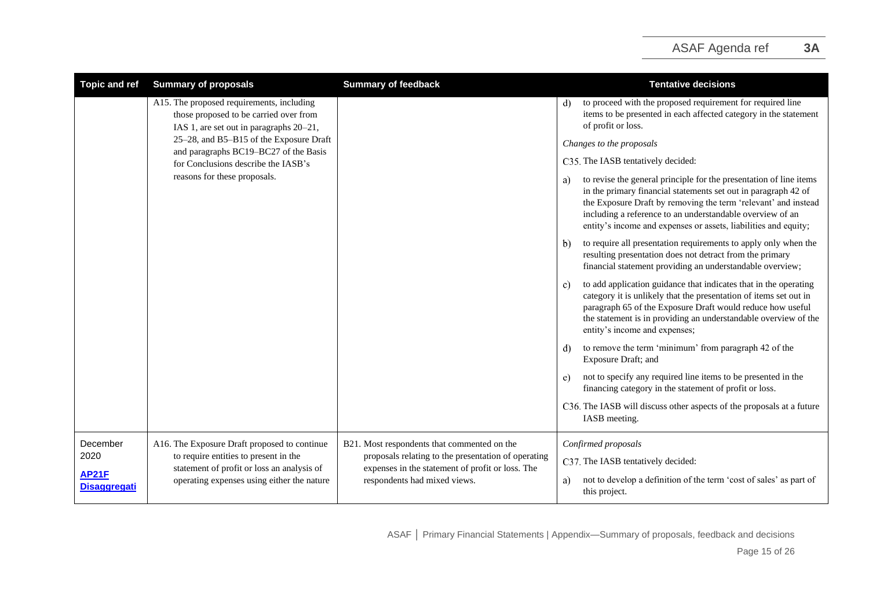## ASAF Agenda ref **3A**

| <b>Topic and ref</b>                | <b>Summary of proposals</b>                                                                                                       | <b>Summary of feedback</b>                                                                                                              | <b>Tentative decisions</b>                                                                                                                                                                                                                                                                                                                   |
|-------------------------------------|-----------------------------------------------------------------------------------------------------------------------------------|-----------------------------------------------------------------------------------------------------------------------------------------|----------------------------------------------------------------------------------------------------------------------------------------------------------------------------------------------------------------------------------------------------------------------------------------------------------------------------------------------|
|                                     | A15. The proposed requirements, including<br>those proposed to be carried over from<br>IAS 1, are set out in paragraphs 20–21,    |                                                                                                                                         | to proceed with the proposed requirement for required line<br>d<br>items to be presented in each affected category in the statement<br>of profit or loss.                                                                                                                                                                                    |
|                                     | 25-28, and B5-B15 of the Exposure Draft<br>and paragraphs BC19-BC27 of the Basis                                                  |                                                                                                                                         | Changes to the proposals                                                                                                                                                                                                                                                                                                                     |
|                                     | for Conclusions describe the IASB's                                                                                               |                                                                                                                                         | C35. The IASB tentatively decided:                                                                                                                                                                                                                                                                                                           |
|                                     | reasons for these proposals.                                                                                                      |                                                                                                                                         | to revise the general principle for the presentation of line items<br>a)<br>in the primary financial statements set out in paragraph 42 of<br>the Exposure Draft by removing the term 'relevant' and instead<br>including a reference to an understandable overview of an<br>entity's income and expenses or assets, liabilities and equity; |
|                                     |                                                                                                                                   |                                                                                                                                         | to require all presentation requirements to apply only when the<br>$\mathbf{b}$<br>resulting presentation does not detract from the primary<br>financial statement providing an understandable overview;                                                                                                                                     |
|                                     |                                                                                                                                   |                                                                                                                                         | to add application guidance that indicates that in the operating<br>c)<br>category it is unlikely that the presentation of items set out in<br>paragraph 65 of the Exposure Draft would reduce how useful<br>the statement is in providing an understandable overview of the<br>entity's income and expenses;                                |
|                                     |                                                                                                                                   |                                                                                                                                         | to remove the term 'minimum' from paragraph 42 of the<br>d)<br>Exposure Draft; and                                                                                                                                                                                                                                                           |
|                                     |                                                                                                                                   |                                                                                                                                         | not to specify any required line items to be presented in the<br>e)<br>financing category in the statement of profit or loss.                                                                                                                                                                                                                |
|                                     |                                                                                                                                   |                                                                                                                                         | C36. The IASB will discuss other aspects of the proposals at a future<br>IASB meeting.                                                                                                                                                                                                                                                       |
| December                            | A16. The Exposure Draft proposed to continue                                                                                      | B21. Most respondents that commented on the                                                                                             | Confirmed proposals                                                                                                                                                                                                                                                                                                                          |
| 2020                                | to require entities to present in the<br>statement of profit or loss an analysis of<br>operating expenses using either the nature | proposals relating to the presentation of operating<br>expenses in the statement of profit or loss. The<br>respondents had mixed views. | C37. The IASB tentatively decided:                                                                                                                                                                                                                                                                                                           |
| <b>AP21F</b><br><b>Disaggregati</b> |                                                                                                                                   |                                                                                                                                         | not to develop a definition of the term 'cost of sales' as part of<br>a)<br>this project.                                                                                                                                                                                                                                                    |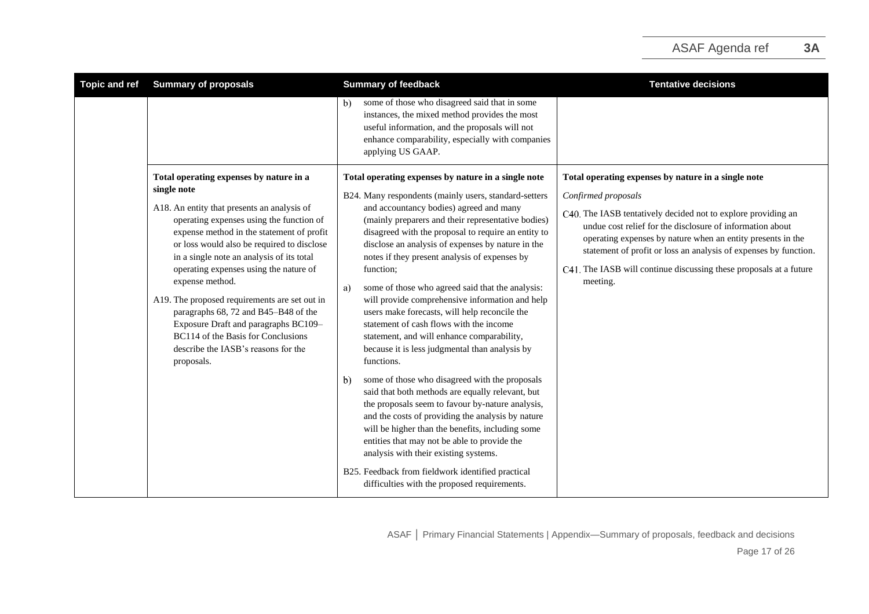| <b>Topic and ref</b> | <b>Summary of proposals</b>                                                                                                                                                                                                                                                                                                                                                                                                                                                                                                                                                        | <b>Summary of feedback</b>                                                                                                                                                                                                                                                                                                                                                                                                                                                                                                                                                                                                                                                                                                                                                                                                                                                                                                                                                                                                                                                                 | <b>Tentative decisions</b>                                                                                                                                                                                                                                                                                                                                                                                                    |
|----------------------|------------------------------------------------------------------------------------------------------------------------------------------------------------------------------------------------------------------------------------------------------------------------------------------------------------------------------------------------------------------------------------------------------------------------------------------------------------------------------------------------------------------------------------------------------------------------------------|--------------------------------------------------------------------------------------------------------------------------------------------------------------------------------------------------------------------------------------------------------------------------------------------------------------------------------------------------------------------------------------------------------------------------------------------------------------------------------------------------------------------------------------------------------------------------------------------------------------------------------------------------------------------------------------------------------------------------------------------------------------------------------------------------------------------------------------------------------------------------------------------------------------------------------------------------------------------------------------------------------------------------------------------------------------------------------------------|-------------------------------------------------------------------------------------------------------------------------------------------------------------------------------------------------------------------------------------------------------------------------------------------------------------------------------------------------------------------------------------------------------------------------------|
|                      |                                                                                                                                                                                                                                                                                                                                                                                                                                                                                                                                                                                    | some of those who disagreed said that in some<br>b).<br>instances, the mixed method provides the most<br>useful information, and the proposals will not<br>enhance comparability, especially with companies<br>applying US GAAP.                                                                                                                                                                                                                                                                                                                                                                                                                                                                                                                                                                                                                                                                                                                                                                                                                                                           |                                                                                                                                                                                                                                                                                                                                                                                                                               |
|                      | Total operating expenses by nature in a<br>single note<br>A18. An entity that presents an analysis of<br>operating expenses using the function of<br>expense method in the statement of profit<br>or loss would also be required to disclose<br>in a single note an analysis of its total<br>operating expenses using the nature of<br>expense method.<br>A19. The proposed requirements are set out in<br>paragraphs 68, 72 and B45-B48 of the<br>Exposure Draft and paragraphs BC109-<br>BC114 of the Basis for Conclusions<br>describe the IASB's reasons for the<br>proposals. | Total operating expenses by nature in a single note<br>B24. Many respondents (mainly users, standard-setters<br>and accountancy bodies) agreed and many<br>(mainly preparers and their representative bodies)<br>disagreed with the proposal to require an entity to<br>disclose an analysis of expenses by nature in the<br>notes if they present analysis of expenses by<br>function;<br>some of those who agreed said that the analysis:<br>a)<br>will provide comprehensive information and help<br>users make forecasts, will help reconcile the<br>statement of cash flows with the income<br>statement, and will enhance comparability,<br>because it is less judgmental than analysis by<br>functions.<br>some of those who disagreed with the proposals<br>$\mathbf{b}$<br>said that both methods are equally relevant, but<br>the proposals seem to favour by-nature analysis,<br>and the costs of providing the analysis by nature<br>will be higher than the benefits, including some<br>entities that may not be able to provide the<br>analysis with their existing systems. | Total operating expenses by nature in a single note<br>Confirmed proposals<br>C40. The IASB tentatively decided not to explore providing an<br>undue cost relief for the disclosure of information about<br>operating expenses by nature when an entity presents in the<br>statement of profit or loss an analysis of expenses by function.<br>C41. The IASB will continue discussing these proposals at a future<br>meeting. |
|                      |                                                                                                                                                                                                                                                                                                                                                                                                                                                                                                                                                                                    | B25. Feedback from fieldwork identified practical<br>difficulties with the proposed requirements.                                                                                                                                                                                                                                                                                                                                                                                                                                                                                                                                                                                                                                                                                                                                                                                                                                                                                                                                                                                          |                                                                                                                                                                                                                                                                                                                                                                                                                               |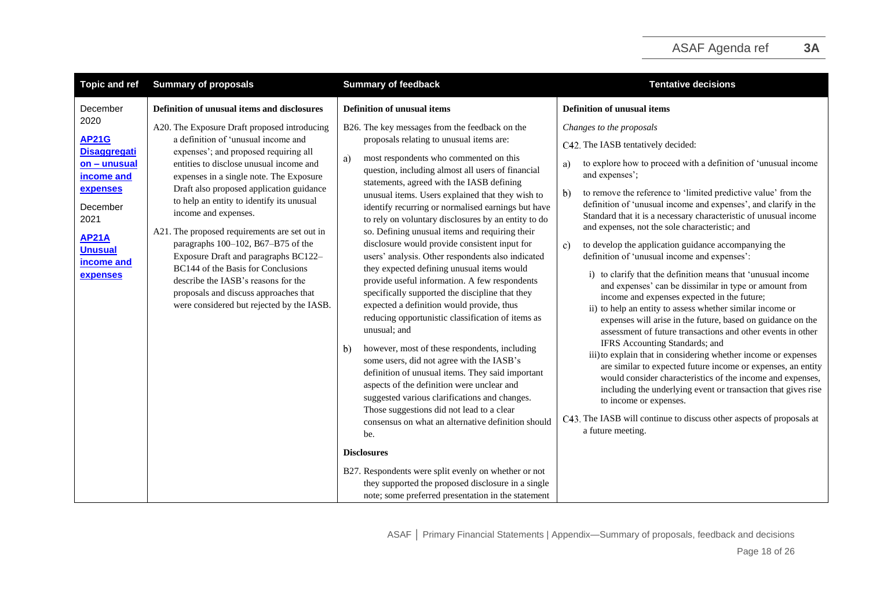| <b>Topic and ref</b>                                                                                                                                                                     | <b>Summary of proposals</b>                                                                                                                                                                                                                                                                                                                                                                                                                                                                                                                                                                                                                                                          | <b>Summary of feedback</b>                                                                                                                                                                                                                                                                                                                                                                                                                                                                                                                                                                                                                                                                                                                                                                                                                                                                                                                                                                                                                                                                                                                                                                                                                                             | <b>Tentative decisions</b>                                                                                                                                                                                                                                                                                                                                                                                                                                                                                                                                                                                                                                                                                                                                                                                                                                                                                                                                                                                                                                                                                                                                                                                                                                                                                                                                                  |
|------------------------------------------------------------------------------------------------------------------------------------------------------------------------------------------|--------------------------------------------------------------------------------------------------------------------------------------------------------------------------------------------------------------------------------------------------------------------------------------------------------------------------------------------------------------------------------------------------------------------------------------------------------------------------------------------------------------------------------------------------------------------------------------------------------------------------------------------------------------------------------------|------------------------------------------------------------------------------------------------------------------------------------------------------------------------------------------------------------------------------------------------------------------------------------------------------------------------------------------------------------------------------------------------------------------------------------------------------------------------------------------------------------------------------------------------------------------------------------------------------------------------------------------------------------------------------------------------------------------------------------------------------------------------------------------------------------------------------------------------------------------------------------------------------------------------------------------------------------------------------------------------------------------------------------------------------------------------------------------------------------------------------------------------------------------------------------------------------------------------------------------------------------------------|-----------------------------------------------------------------------------------------------------------------------------------------------------------------------------------------------------------------------------------------------------------------------------------------------------------------------------------------------------------------------------------------------------------------------------------------------------------------------------------------------------------------------------------------------------------------------------------------------------------------------------------------------------------------------------------------------------------------------------------------------------------------------------------------------------------------------------------------------------------------------------------------------------------------------------------------------------------------------------------------------------------------------------------------------------------------------------------------------------------------------------------------------------------------------------------------------------------------------------------------------------------------------------------------------------------------------------------------------------------------------------|
| December<br>2020<br><b>AP21G</b><br><b>Disaggregati</b><br>on - unusual<br>income and<br>expenses<br>December<br>2021<br><b>AP21A</b><br><b>Unusual</b><br>income and<br><b>expenses</b> | Definition of unusual items and disclosures<br>A20. The Exposure Draft proposed introducing<br>a definition of 'unusual income and<br>expenses'; and proposed requiring all<br>entities to disclose unusual income and<br>expenses in a single note. The Exposure<br>Draft also proposed application guidance<br>to help an entity to identify its unusual<br>income and expenses.<br>A21. The proposed requirements are set out in<br>paragraphs 100-102, B67-B75 of the<br>Exposure Draft and paragraphs BC122-<br>BC144 of the Basis for Conclusions<br>describe the IASB's reasons for the<br>proposals and discuss approaches that<br>were considered but rejected by the IASB. | <b>Definition of unusual items</b><br>B26. The key messages from the feedback on the<br>proposals relating to unusual items are:<br>most respondents who commented on this<br>a)<br>question, including almost all users of financial<br>statements, agreed with the IASB defining<br>unusual items. Users explained that they wish to<br>identify recurring or normalised earnings but have<br>to rely on voluntary disclosures by an entity to do<br>so. Defining unusual items and requiring their<br>disclosure would provide consistent input for<br>users' analysis. Other respondents also indicated<br>they expected defining unusual items would<br>provide useful information. A few respondents<br>specifically supported the discipline that they<br>expected a definition would provide, thus<br>reducing opportunistic classification of items as<br>unusual; and<br>however, most of these respondents, including<br>b)<br>some users, did not agree with the IASB's<br>definition of unusual items. They said important<br>aspects of the definition were unclear and<br>suggested various clarifications and changes.<br>Those suggestions did not lead to a clear<br>consensus on what an alternative definition should<br>be.<br><b>Disclosures</b> | <b>Definition of unusual items</b><br>Changes to the proposals<br>C42. The IASB tentatively decided:<br>to explore how to proceed with a definition of 'unusual income<br>a)<br>and expenses';<br>to remove the reference to 'limited predictive value' from the<br>b)<br>definition of 'unusual income and expenses', and clarify in the<br>Standard that it is a necessary characteristic of unusual income<br>and expenses, not the sole characteristic; and<br>to develop the application guidance accompanying the<br>c)<br>definition of 'unusual income and expenses':<br>i) to clarify that the definition means that 'unusual income<br>and expenses' can be dissimilar in type or amount from<br>income and expenses expected in the future;<br>ii) to help an entity to assess whether similar income or<br>expenses will arise in the future, based on guidance on the<br>assessment of future transactions and other events in other<br>IFRS Accounting Standards; and<br>iii) to explain that in considering whether income or expenses<br>are similar to expected future income or expenses, an entity<br>would consider characteristics of the income and expenses,<br>including the underlying event or transaction that gives rise<br>to income or expenses.<br>C43. The IASB will continue to discuss other aspects of proposals at<br>a future meeting. |
|                                                                                                                                                                                          |                                                                                                                                                                                                                                                                                                                                                                                                                                                                                                                                                                                                                                                                                      | B27. Respondents were split evenly on whether or not<br>they supported the proposed disclosure in a single<br>note; some preferred presentation in the statement                                                                                                                                                                                                                                                                                                                                                                                                                                                                                                                                                                                                                                                                                                                                                                                                                                                                                                                                                                                                                                                                                                       |                                                                                                                                                                                                                                                                                                                                                                                                                                                                                                                                                                                                                                                                                                                                                                                                                                                                                                                                                                                                                                                                                                                                                                                                                                                                                                                                                                             |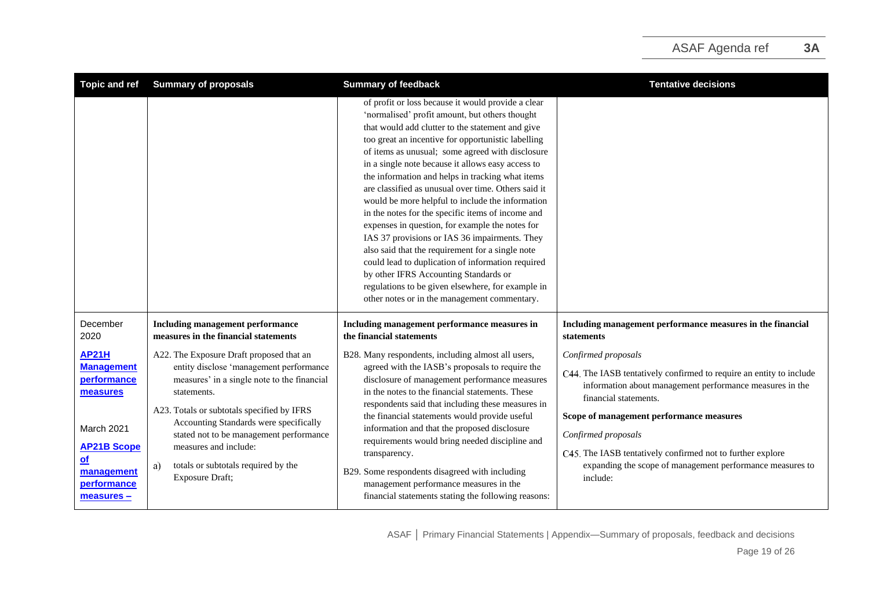| <b>Topic and ref</b>                                                                                                                                               | <b>Summary of proposals</b>                                                                                                                                                                                                                                                                                                                                                   | <b>Summary of feedback</b>                                                                                                                                                                                                                                                                                                                                                                                                                                                                                                                                                                                                                                                                                                                                                                                                                                                                             | <b>Tentative decisions</b>                                                                                                                                                                                                                                                                                                                                                                |
|--------------------------------------------------------------------------------------------------------------------------------------------------------------------|-------------------------------------------------------------------------------------------------------------------------------------------------------------------------------------------------------------------------------------------------------------------------------------------------------------------------------------------------------------------------------|--------------------------------------------------------------------------------------------------------------------------------------------------------------------------------------------------------------------------------------------------------------------------------------------------------------------------------------------------------------------------------------------------------------------------------------------------------------------------------------------------------------------------------------------------------------------------------------------------------------------------------------------------------------------------------------------------------------------------------------------------------------------------------------------------------------------------------------------------------------------------------------------------------|-------------------------------------------------------------------------------------------------------------------------------------------------------------------------------------------------------------------------------------------------------------------------------------------------------------------------------------------------------------------------------------------|
|                                                                                                                                                                    |                                                                                                                                                                                                                                                                                                                                                                               | of profit or loss because it would provide a clear<br>'normalised' profit amount, but others thought<br>that would add clutter to the statement and give<br>too great an incentive for opportunistic labelling<br>of items as unusual; some agreed with disclosure<br>in a single note because it allows easy access to<br>the information and helps in tracking what items<br>are classified as unusual over time. Others said it<br>would be more helpful to include the information<br>in the notes for the specific items of income and<br>expenses in question, for example the notes for<br>IAS 37 provisions or IAS 36 impairments. They<br>also said that the requirement for a single note<br>could lead to duplication of information required<br>by other IFRS Accounting Standards or<br>regulations to be given elsewhere, for example in<br>other notes or in the management commentary. |                                                                                                                                                                                                                                                                                                                                                                                           |
| December<br>2020                                                                                                                                                   | Including management performance<br>measures in the financial statements                                                                                                                                                                                                                                                                                                      | Including management performance measures in<br>the financial statements                                                                                                                                                                                                                                                                                                                                                                                                                                                                                                                                                                                                                                                                                                                                                                                                                               | Including management performance measures in the financial<br>statements                                                                                                                                                                                                                                                                                                                  |
| <b>AP21H</b><br><b>Management</b><br><b>performance</b><br>measures<br>March 2021<br><b>AP21B Scope</b><br>$\mathbf{d}$<br>management<br>performance<br>measures – | A22. The Exposure Draft proposed that an<br>entity disclose 'management performance<br>measures' in a single note to the financial<br>statements.<br>A23. Totals or subtotals specified by IFRS<br>Accounting Standards were specifically<br>stated not to be management performance<br>measures and include:<br>totals or subtotals required by the<br>a)<br>Exposure Draft; | B28. Many respondents, including almost all users,<br>agreed with the IASB's proposals to require the<br>disclosure of management performance measures<br>in the notes to the financial statements. These<br>respondents said that including these measures in<br>the financial statements would provide useful<br>information and that the proposed disclosure<br>requirements would bring needed discipline and<br>transparency.<br>B29. Some respondents disagreed with including<br>management performance measures in the<br>financial statements stating the following reasons:                                                                                                                                                                                                                                                                                                                  | Confirmed proposals<br>C44. The IASB tentatively confirmed to require an entity to include<br>information about management performance measures in the<br>financial statements.<br>Scope of management performance measures<br>Confirmed proposals<br>C45. The IASB tentatively confirmed not to further explore<br>expanding the scope of management performance measures to<br>include: |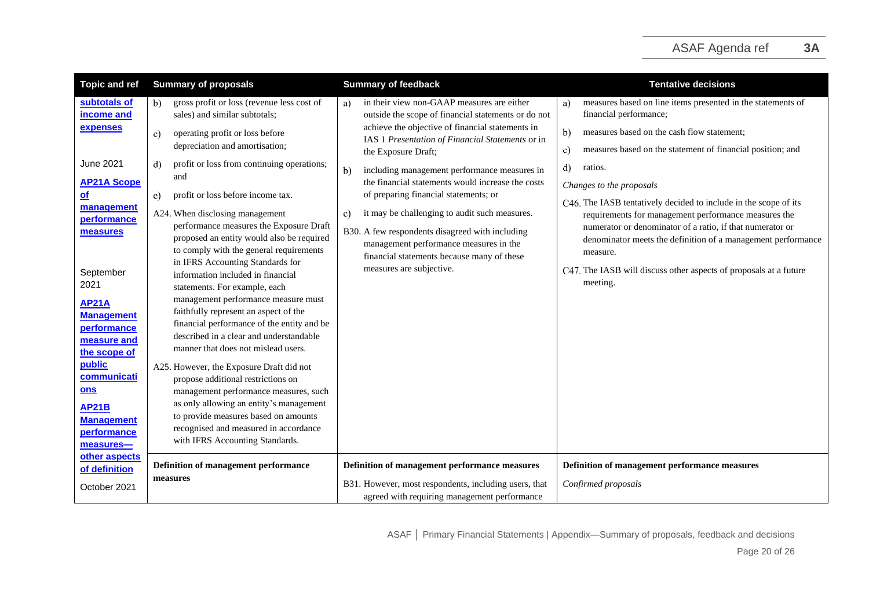| <b>Topic and ref</b>                                                            | <b>Summary of proposals</b>                                                                                                                                                                                  | <b>Summary of feedback</b>                                                                                                                                                                              | <b>Tentative decisions</b>                                                                                                                                                                                                         |
|---------------------------------------------------------------------------------|--------------------------------------------------------------------------------------------------------------------------------------------------------------------------------------------------------------|---------------------------------------------------------------------------------------------------------------------------------------------------------------------------------------------------------|------------------------------------------------------------------------------------------------------------------------------------------------------------------------------------------------------------------------------------|
| subtotals of<br>income and                                                      | gross profit or loss (revenue less cost of<br>b)<br>sales) and similar subtotals;                                                                                                                            | in their view non-GAAP measures are either<br>a)<br>outside the scope of financial statements or do not                                                                                                 | measures based on line items presented in the statements of<br>a)<br>financial performance;                                                                                                                                        |
| expenses                                                                        | operating profit or loss before<br>$\mathbf{c}$<br>depreciation and amortisation;                                                                                                                            | achieve the objective of financial statements in<br>IAS 1 Presentation of Financial Statements or in<br>the Exposure Draft;                                                                             | b)<br>measures based on the cash flow statement;<br>measures based on the statement of financial position; and<br>c)                                                                                                               |
| <b>June 2021</b><br><b>AP21A Scope</b><br>$of$<br>management<br>performance     | profit or loss from continuing operations;<br>d)<br>and<br>profit or loss before income tax.<br>e)<br>A24. When disclosing management<br>performance measures the Exposure Draft                             | including management performance measures in<br>b)<br>the financial statements would increase the costs<br>of preparing financial statements; or<br>it may be challenging to audit such measures.<br>C) | d)<br>ratios.<br>Changes to the proposals<br>C46. The IASB tentatively decided to include in the scope of its<br>requirements for management performance measures the<br>numerator or denominator of a ratio, if that numerator or |
| measures<br>September<br>2021                                                   | proposed an entity would also be required<br>to comply with the general requirements<br>in IFRS Accounting Standards for<br>information included in financial<br>statements. For example, each               | B30. A few respondents disagreed with including<br>management performance measures in the<br>financial statements because many of these<br>measures are subjective.                                     | denominator meets the definition of a management performance<br>measure.<br>C47. The IASB will discuss other aspects of proposals at a future<br>meeting.                                                                          |
| <b>AP21A</b><br><b>Management</b><br>performance<br>measure and<br>the scope of | management performance measure must<br>faithfully represent an aspect of the<br>financial performance of the entity and be<br>described in a clear and understandable<br>manner that does not mislead users. |                                                                                                                                                                                                         |                                                                                                                                                                                                                                    |
| public<br>communicati<br>ons                                                    | A25. However, the Exposure Draft did not<br>propose additional restrictions on<br>management performance measures, such<br>as only allowing an entity's management                                           |                                                                                                                                                                                                         |                                                                                                                                                                                                                                    |
| <b>AP21B</b><br><b>Management</b><br>performance<br>measures-                   | to provide measures based on amounts<br>recognised and measured in accordance<br>with IFRS Accounting Standards.                                                                                             |                                                                                                                                                                                                         |                                                                                                                                                                                                                                    |
| other aspects<br>of definition<br>October 2021                                  | Definition of management performance<br>measures                                                                                                                                                             | Definition of management performance measures<br>B31. However, most respondents, including users, that<br>agreed with requiring management performance                                                  | Definition of management performance measures<br>Confirmed proposals                                                                                                                                                               |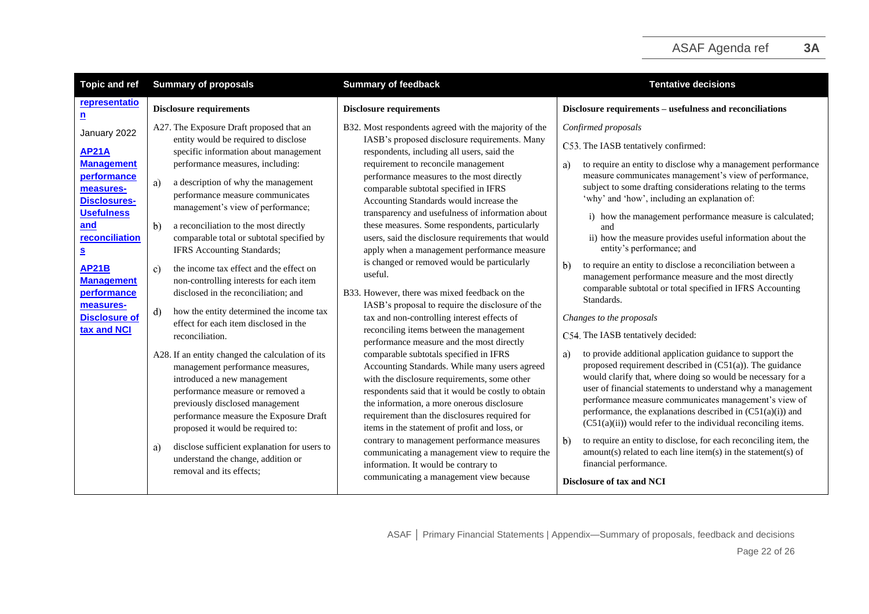<span id="page-21-2"></span><span id="page-21-1"></span><span id="page-21-0"></span>

| <b>Topic and ref</b>                                                                                                                                                                                                                                    | <b>Summary of proposals</b>                                                                                                                                                                                                                                                                                                                                                                                                                                                                                                                                                                                   | <b>Summary of feedback</b>                                                                                                                                                                                                                                                                                                                                                                                                                                                                                                                                                                                                                                                                                                                            | <b>Tentative decisions</b>                                                                                                                                                                                                                                                                                                                                                                                                                                                                                                                                                                                                                                                                                                |
|---------------------------------------------------------------------------------------------------------------------------------------------------------------------------------------------------------------------------------------------------------|---------------------------------------------------------------------------------------------------------------------------------------------------------------------------------------------------------------------------------------------------------------------------------------------------------------------------------------------------------------------------------------------------------------------------------------------------------------------------------------------------------------------------------------------------------------------------------------------------------------|-------------------------------------------------------------------------------------------------------------------------------------------------------------------------------------------------------------------------------------------------------------------------------------------------------------------------------------------------------------------------------------------------------------------------------------------------------------------------------------------------------------------------------------------------------------------------------------------------------------------------------------------------------------------------------------------------------------------------------------------------------|---------------------------------------------------------------------------------------------------------------------------------------------------------------------------------------------------------------------------------------------------------------------------------------------------------------------------------------------------------------------------------------------------------------------------------------------------------------------------------------------------------------------------------------------------------------------------------------------------------------------------------------------------------------------------------------------------------------------------|
| representatio<br><u>n</u>                                                                                                                                                                                                                               | <b>Disclosure requirements</b>                                                                                                                                                                                                                                                                                                                                                                                                                                                                                                                                                                                | <b>Disclosure requirements</b>                                                                                                                                                                                                                                                                                                                                                                                                                                                                                                                                                                                                                                                                                                                        | Disclosure requirements - usefulness and reconciliations                                                                                                                                                                                                                                                                                                                                                                                                                                                                                                                                                                                                                                                                  |
| January 2022<br><b>AP21A</b><br><b>Management</b><br>performance<br>measures-<br><b>Disclosures-</b><br><b>Usefulness</b><br>and<br>reconciliation<br><u>s</u><br><b>AP21B</b><br><b>Management</b><br>performance<br>measures-<br><b>Disclosure of</b> | A27. The Exposure Draft proposed that an<br>entity would be required to disclose<br>specific information about management<br>performance measures, including:<br>a description of why the management<br>a)<br>performance measure communicates<br>management's view of performance;<br>b)<br>a reconciliation to the most directly<br>comparable total or subtotal specified by<br>IFRS Accounting Standards;<br>the income tax effect and the effect on<br>$\mathbf{c}$<br>non-controlling interests for each item<br>disclosed in the reconciliation; and<br>how the entity determined the income tax<br>d) | B32. Most respondents agreed with the majority of the<br>IASB's proposed disclosure requirements. Many<br>respondents, including all users, said the<br>requirement to reconcile management<br>performance measures to the most directly<br>comparable subtotal specified in IFRS<br>Accounting Standards would increase the<br>transparency and usefulness of information about<br>these measures. Some respondents, particularly<br>users, said the disclosure requirements that would<br>apply when a management performance measure<br>is changed or removed would be particularly<br>useful.<br>B33. However, there was mixed feedback on the<br>IASB's proposal to require the disclosure of the<br>tax and non-controlling interest effects of | Confirmed proposals<br>C53. The IASB tentatively confirmed:<br>to require an entity to disclose why a management performance<br>a)<br>measure communicates management's view of performance,<br>subject to some drafting considerations relating to the terms<br>'why' and 'how', including an explanation of:<br>i) how the management performance measure is calculated;<br>and<br>ii) how the measure provides useful information about the<br>entity's performance; and<br>$\mathbf{b}$<br>to require an entity to disclose a reconciliation between a<br>management performance measure and the most directly<br>comparable subtotal or total specified in IFRS Accounting<br>Standards.<br>Changes to the proposals |
| tax and NCI                                                                                                                                                                                                                                             | effect for each item disclosed in the<br>reconciliation.<br>A28. If an entity changed the calculation of its<br>management performance measures,<br>introduced a new management<br>performance measure or removed a<br>previously disclosed management<br>performance measure the Exposure Draft<br>proposed it would be required to:<br>disclose sufficient explanation for users to<br>a)<br>understand the change, addition or<br>removal and its effects:                                                                                                                                                 | reconciling items between the management<br>performance measure and the most directly<br>comparable subtotals specified in IFRS<br>Accounting Standards. While many users agreed<br>with the disclosure requirements, some other<br>respondents said that it would be costly to obtain<br>the information, a more onerous disclosure<br>requirement than the disclosures required for<br>items in the statement of profit and loss, or<br>contrary to management performance measures<br>communicating a management view to require the<br>information. It would be contrary to<br>communicating a management view because                                                                                                                            | C54. The IASB tentatively decided:<br>to provide additional application guidance to support the<br>a)<br>proposed requirement described in $(C51(a))$ . The guidance<br>would clarify that, where doing so would be necessary for a<br>user of financial statements to understand why a management<br>performance measure communicates management's view of<br>performance, the explanations described in $(C51(a)(i))$ and<br>$(C51(a)(ii))$ would refer to the individual reconciling items.<br>$\mathbf{b}$<br>to require an entity to disclose, for each reconciling item, the<br>$amount(s) related to each line item(s) in the statement(s) of$<br>financial performance.<br>Disclosure of tax and NCI              |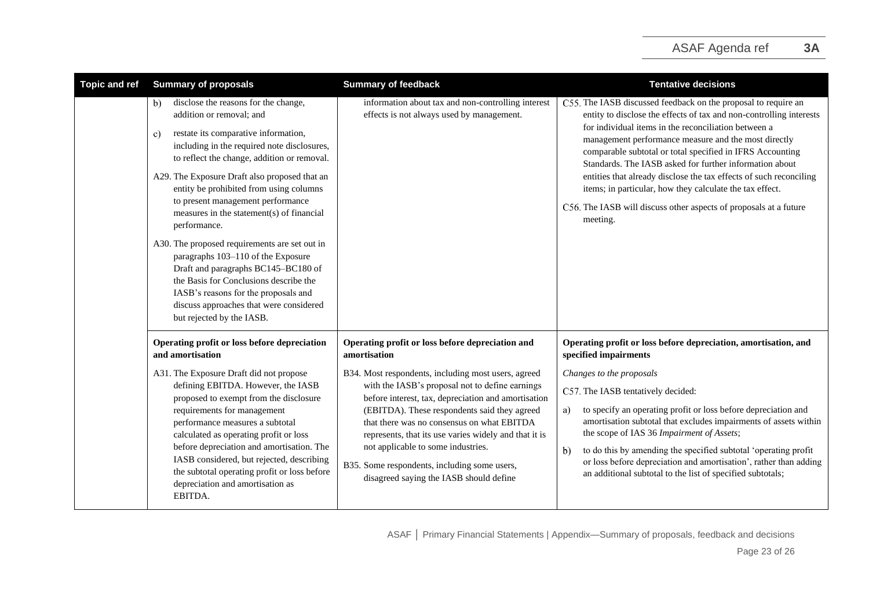| <b>Topic and ref</b> | <b>Summary of proposals</b>                                                                                                                                                                                                                                                                                                                                                                                                                                                                                                                                                                                                                                                                                        | <b>Summary of feedback</b>                                                                                                                                                                                                                                                                                                                                                                                                                                                                                                | <b>Tentative decisions</b>                                                                                                                                                                                                                                                                                                                                                                                                                                                                                                                                                                       |
|----------------------|--------------------------------------------------------------------------------------------------------------------------------------------------------------------------------------------------------------------------------------------------------------------------------------------------------------------------------------------------------------------------------------------------------------------------------------------------------------------------------------------------------------------------------------------------------------------------------------------------------------------------------------------------------------------------------------------------------------------|---------------------------------------------------------------------------------------------------------------------------------------------------------------------------------------------------------------------------------------------------------------------------------------------------------------------------------------------------------------------------------------------------------------------------------------------------------------------------------------------------------------------------|--------------------------------------------------------------------------------------------------------------------------------------------------------------------------------------------------------------------------------------------------------------------------------------------------------------------------------------------------------------------------------------------------------------------------------------------------------------------------------------------------------------------------------------------------------------------------------------------------|
|                      | disclose the reasons for the change,<br>b)<br>addition or removal; and<br>restate its comparative information,<br>$\mathbf{c}$<br>including in the required note disclosures,<br>to reflect the change, addition or removal.<br>A29. The Exposure Draft also proposed that an<br>entity be prohibited from using columns<br>to present management performance<br>measures in the statement(s) of financial<br>performance.<br>A30. The proposed requirements are set out in<br>paragraphs 103-110 of the Exposure<br>Draft and paragraphs BC145-BC180 of<br>the Basis for Conclusions describe the<br>IASB's reasons for the proposals and<br>discuss approaches that were considered<br>but rejected by the IASB. | information about tax and non-controlling interest<br>effects is not always used by management.                                                                                                                                                                                                                                                                                                                                                                                                                           | C55. The IASB discussed feedback on the proposal to require an<br>entity to disclose the effects of tax and non-controlling interests<br>for individual items in the reconciliation between a<br>management performance measure and the most directly<br>comparable subtotal or total specified in IFRS Accounting<br>Standards. The IASB asked for further information about<br>entities that already disclose the tax effects of such reconciling<br>items; in particular, how they calculate the tax effect.<br>C56. The IASB will discuss other aspects of proposals at a future<br>meeting. |
|                      | Operating profit or loss before depreciation<br>and amortisation<br>A31. The Exposure Draft did not propose<br>defining EBITDA. However, the IASB<br>proposed to exempt from the disclosure<br>requirements for management<br>performance measures a subtotal<br>calculated as operating profit or loss<br>before depreciation and amortisation. The<br>IASB considered, but rejected, describing<br>the subtotal operating profit or loss before<br>depreciation and amortisation as<br>EBITDA.                                                                                                                                                                                                                   | Operating profit or loss before depreciation and<br>amortisation<br>B34. Most respondents, including most users, agreed<br>with the IASB's proposal not to define earnings<br>before interest, tax, depreciation and amortisation<br>(EBITDA). These respondents said they agreed<br>that there was no consensus on what EBITDA<br>represents, that its use varies widely and that it is<br>not applicable to some industries.<br>B35. Some respondents, including some users,<br>disagreed saying the IASB should define | Operating profit or loss before depreciation, amortisation, and<br>specified impairments<br>Changes to the proposals<br>C57. The IASB tentatively decided:<br>to specify an operating profit or loss before depreciation and<br>a)<br>amortisation subtotal that excludes impairments of assets within<br>the scope of IAS 36 Impairment of Assets;<br>to do this by amending the specified subtotal 'operating profit<br>$\mathbf{b}$<br>or loss before depreciation and amortisation', rather than adding<br>an additional subtotal to the list of specified subtotals;                        |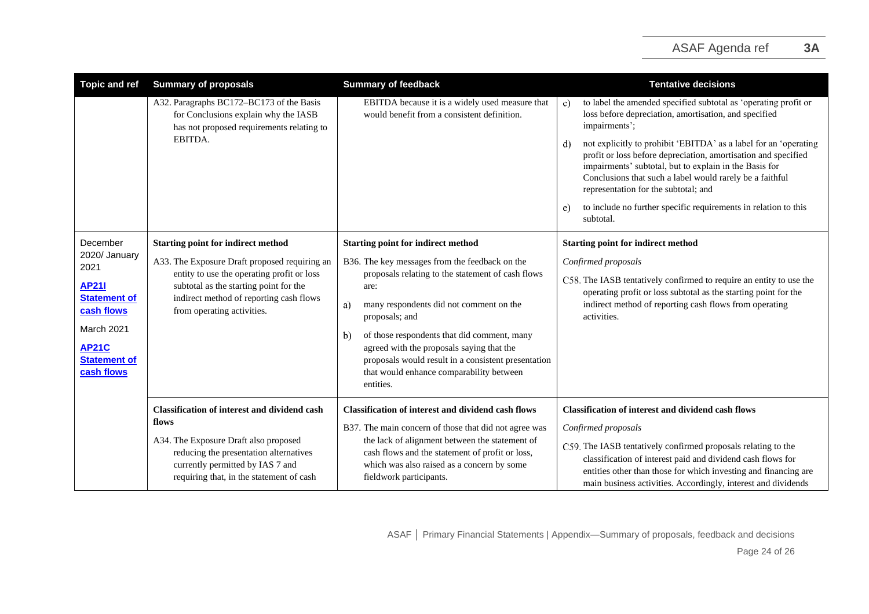| <b>Topic and ref</b>                                                                                                                          | <b>Summary of proposals</b>                                                                                                                                                                                                     | <b>Summary of feedback</b>                                                                                                                                                                                                                                                                                                                                                                       | <b>Tentative decisions</b>                                                                                                                                                                                                                                                                                                                           |
|-----------------------------------------------------------------------------------------------------------------------------------------------|---------------------------------------------------------------------------------------------------------------------------------------------------------------------------------------------------------------------------------|--------------------------------------------------------------------------------------------------------------------------------------------------------------------------------------------------------------------------------------------------------------------------------------------------------------------------------------------------------------------------------------------------|------------------------------------------------------------------------------------------------------------------------------------------------------------------------------------------------------------------------------------------------------------------------------------------------------------------------------------------------------|
|                                                                                                                                               | A32. Paragraphs BC172-BC173 of the Basis<br>for Conclusions explain why the IASB<br>has not proposed requirements relating to<br>EBITDA.                                                                                        | EBITDA because it is a widely used measure that<br>would benefit from a consistent definition.                                                                                                                                                                                                                                                                                                   | to label the amended specified subtotal as 'operating profit or<br>c)<br>loss before depreciation, amortisation, and specified<br>impairments';                                                                                                                                                                                                      |
|                                                                                                                                               |                                                                                                                                                                                                                                 |                                                                                                                                                                                                                                                                                                                                                                                                  | not explicitly to prohibit 'EBITDA' as a label for an 'operating<br>d)<br>profit or loss before depreciation, amortisation and specified<br>impairments' subtotal, but to explain in the Basis for<br>Conclusions that such a label would rarely be a faithful<br>representation for the subtotal; and                                               |
|                                                                                                                                               |                                                                                                                                                                                                                                 |                                                                                                                                                                                                                                                                                                                                                                                                  | to include no further specific requirements in relation to this<br>e)<br>subtotal.                                                                                                                                                                                                                                                                   |
| December                                                                                                                                      | <b>Starting point for indirect method</b>                                                                                                                                                                                       | <b>Starting point for indirect method</b>                                                                                                                                                                                                                                                                                                                                                        | <b>Starting point for indirect method</b>                                                                                                                                                                                                                                                                                                            |
| 2020/ January<br>2021<br><b>AP21I</b><br><b>Statement of</b><br>cash flows<br>March 2021<br><b>AP21C</b><br><b>Statement of</b><br>cash flows | A33. The Exposure Draft proposed requiring an<br>entity to use the operating profit or loss<br>subtotal as the starting point for the<br>indirect method of reporting cash flows<br>from operating activities.                  | B36. The key messages from the feedback on the<br>proposals relating to the statement of cash flows<br>are:<br>many respondents did not comment on the<br>a)<br>proposals; and<br>of those respondents that did comment, many<br>b)<br>agreed with the proposals saying that the<br>proposals would result in a consistent presentation<br>that would enhance comparability between<br>entities. | Confirmed proposals<br>C58. The IASB tentatively confirmed to require an entity to use the<br>operating profit or loss subtotal as the starting point for the<br>indirect method of reporting cash flows from operating<br>activities.                                                                                                               |
|                                                                                                                                               | <b>Classification of interest and dividend cash</b><br>flows<br>A34. The Exposure Draft also proposed<br>reducing the presentation alternatives<br>currently permitted by IAS 7 and<br>requiring that, in the statement of cash | <b>Classification of interest and dividend cash flows</b><br>B37. The main concern of those that did not agree was<br>the lack of alignment between the statement of<br>cash flows and the statement of profit or loss,<br>which was also raised as a concern by some<br>fieldwork participants.                                                                                                 | <b>Classification of interest and dividend cash flows</b><br>Confirmed proposals<br>C59. The IASB tentatively confirmed proposals relating to the<br>classification of interest paid and dividend cash flows for<br>entities other than those for which investing and financing are<br>main business activities. Accordingly, interest and dividends |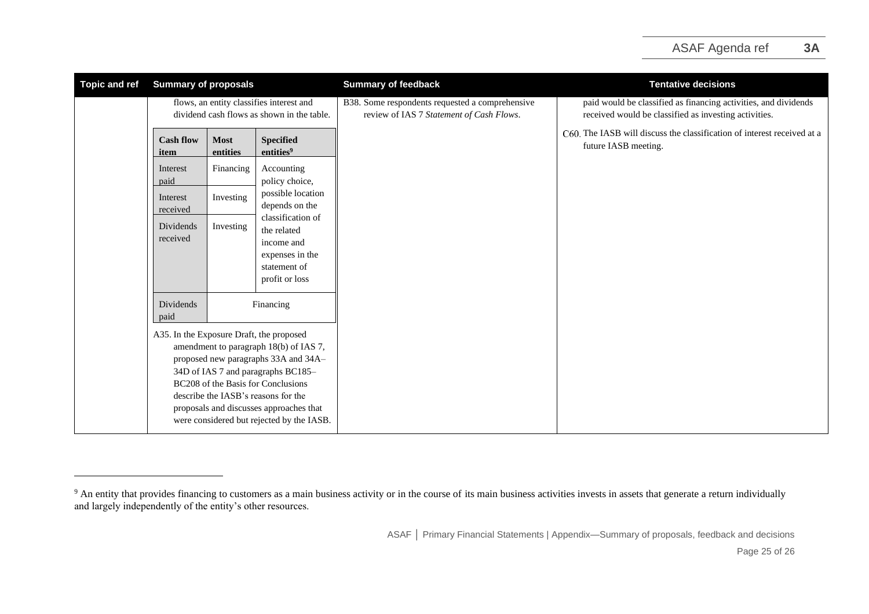| <b>Topic and ref</b> | <b>Summary of proposals</b>                                                                                                                                                                                                                                                                                                                                             |                         |                                                                                                     | <b>Summary of feedback</b>                                                                  | <b>Tentative decisions</b>                                                                                               |
|----------------------|-------------------------------------------------------------------------------------------------------------------------------------------------------------------------------------------------------------------------------------------------------------------------------------------------------------------------------------------------------------------------|-------------------------|-----------------------------------------------------------------------------------------------------|---------------------------------------------------------------------------------------------|--------------------------------------------------------------------------------------------------------------------------|
|                      | flows, an entity classifies interest and<br>dividend cash flows as shown in the table.                                                                                                                                                                                                                                                                                  |                         |                                                                                                     | B38. Some respondents requested a comprehensive<br>review of IAS 7 Statement of Cash Flows. | paid would be classified as financing activities, and dividends<br>received would be classified as investing activities. |
|                      | <b>Cash flow</b><br>item                                                                                                                                                                                                                                                                                                                                                | <b>Most</b><br>entities | <b>Specified</b><br>entities <sup>9</sup>                                                           |                                                                                             | C60. The IASB will discuss the classification of interest received at a<br>future IASB meeting.                          |
|                      | Interest<br>paid                                                                                                                                                                                                                                                                                                                                                        | Financing               | Accounting<br>policy choice,                                                                        |                                                                                             |                                                                                                                          |
|                      | Interest<br>received                                                                                                                                                                                                                                                                                                                                                    | Investing               | possible location<br>depends on the                                                                 |                                                                                             |                                                                                                                          |
|                      | Dividends<br>received                                                                                                                                                                                                                                                                                                                                                   | Investing               | classification of<br>the related<br>income and<br>expenses in the<br>statement of<br>profit or loss |                                                                                             |                                                                                                                          |
|                      | Dividends<br>Financing<br>paid<br>A35. In the Exposure Draft, the proposed<br>amendment to paragraph 18(b) of IAS 7,<br>proposed new paragraphs 33A and 34A-<br>34D of IAS 7 and paragraphs BC185-<br>BC208 of the Basis for Conclusions<br>describe the IASB's reasons for the<br>proposals and discusses approaches that<br>were considered but rejected by the IASB. |                         |                                                                                                     |                                                                                             |                                                                                                                          |
|                      |                                                                                                                                                                                                                                                                                                                                                                         |                         |                                                                                                     |                                                                                             |                                                                                                                          |

<sup>&</sup>lt;sup>9</sup> An entity that provides financing to customers as a main business activity or in the course of its main business activities invests in assets that generate a return individually and largely independently of the entity's other resources.